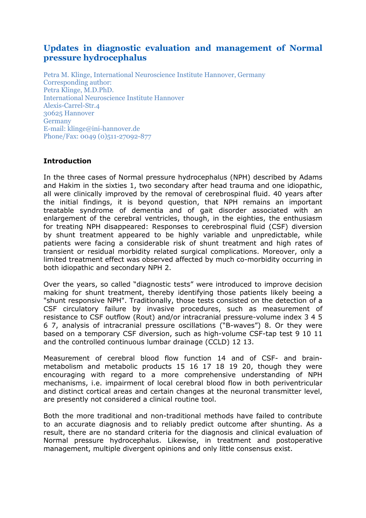# **Updates in diagnostic evaluation and management of Normal pressure hydrocephalus**

Petra M. Klinge, International Neuroscience Institute Hannover, Germany Corresponding author: Petra Klinge, M.D.PhD. International Neuroscience Institute Hannover Alexis-Carrel-Str.4 30625 Hannover Germany E-mail: klinge@ini-hannover.de Phone/Fax: 0049 (0)511-27092-877

# **Introduction**

In the three cases of Normal pressure hydrocephalus (NPH) described by Adams and Hakim in the sixties 1, two secondary after head trauma and one idiopathic, all were clinically improved by the removal of cerebrospinal fluid. 40 years after the initial findings, it is beyond question, that NPH remains an important treatable syndrome of dementia and of gait disorder associated with an enlargement of the cerebral ventricles, though, in the eighties, the enthusiasm for treating NPH disappeared: Responses to cerebrospinal fluid (CSF) diversion by shunt treatment appeared to be highly variable and unpredictable, while patients were facing a considerable risk of shunt treatment and high rates of transient or residual morbidity related surgical complications. Moreover, only a limited treatment effect was observed affected by much co-morbidity occurring in both idiopathic and secondary NPH 2.

Over the years, so called "diagnostic tests" were introduced to improve decision making for shunt treatment, thereby identifying those patients likely beeing a "shunt responsive NPH". Traditionally, those tests consisted on the detection of a CSF circulatory failure by invasive procedures, such as measurement of resistance to CSF outflow (Rout) and/or intracranial pressure-volume index 3 4 5 6 7, analysis of intracranial pressure oscillations ("B-waves") 8. Or they were based on a temporary CSF diversion, such as high-volume CSF-tap test 9 10 11 and the controlled continuous lumbar drainage (CCLD) 12 13.

Measurement of cerebral blood flow function 14 and of CSF- and brainmetabolism and metabolic products 15 16 17 18 19 20, though they were encouraging with regard to a more comprehensive understanding of NPH mechanisms, i.e. impairment of local cerebral blood flow in both periventricular and distinct cortical areas and certain changes at the neuronal transmitter level, are presently not considered a clinical routine tool.

Both the more traditional and non-traditional methods have failed to contribute to an accurate diagnosis and to reliably predict outcome after shunting. As a result, there are no standard criteria for the diagnosis and clinical evaluation of Normal pressure hydrocephalus. Likewise, in treatment and postoperative management, multiple divergent opinions and only little consensus exist.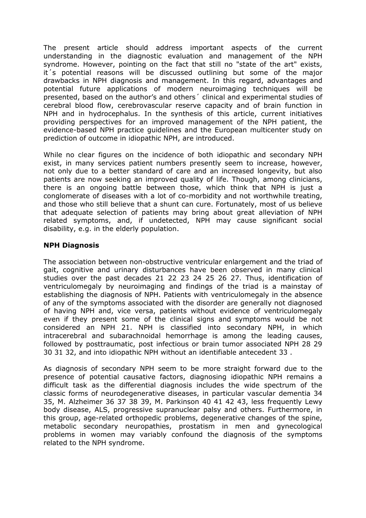The present article should address important aspects of the current understanding in the diagnostic evaluation and management of the NPH syndrome. However, pointing on the fact that still no "state of the art" exists, it´s potential reasons will be discussed outlining but some of the major drawbacks in NPH diagnosis and management. In this regard, advantages and potential future applications of modern neuroimaging techniques will be presented, based on the author's and others´ clinical and experimental studies of cerebral blood flow, cerebrovascular reserve capacity and of brain function in NPH and in hydrocephalus. In the synthesis of this article, current initiatives providing perspectives for an improved management of the NPH patient, the evidence-based NPH practice guidelines and the European multicenter study on prediction of outcome in idiopathic NPH, are introduced.

While no clear figures on the incidence of both idiopathic and secondary NPH exist, in many services patient numbers presently seem to increase, however, not only due to a better standard of care and an increased longevity, but also patients are now seeking an improved quality of life. Though, among clinicians, there is an ongoing battle between those, which think that NPH is just a conglomerate of diseases with a lot of co-morbidity and not worthwhile treating, and those who still believe that a shunt can cure. Fortunately, most of us believe that adequate selection of patients may bring about great alleviation of NPH related symptoms, and, if undetected, NPH may cause significant social disability, e.g. in the elderly population.

### **NPH Diagnosis**

The association between non-obstructive ventricular enlargement and the triad of gait, cognitive and urinary disturbances have been observed in many clinical studies over the past decades 21 22 23 24 25 26 27. Thus, identification of ventriculomegaly by neuroimaging and findings of the triad is a mainstay of establishing the diagnosis of NPH. Patients with ventriculomegaly in the absence of any of the symptoms associated with the disorder are generally not diagnosed of having NPH and, vice versa, patients without evidence of ventriculomegaly even if they present some of the clinical signs and symptoms would be not considered an NPH 21. NPH is classified into secondary NPH, in which intracerebral and subarachnoidal hemorrhage is among the leading causes, followed by posttraumatic, post infectious or brain tumor associated NPH 28 29 30 31 32, and into idiopathic NPH without an identifiable antecedent 33 .

As diagnosis of secondary NPH seem to be more straight forward due to the presence of potential causative factors, diagnosing idiopathic NPH remains a difficult task as the differential diagnosis includes the wide spectrum of the classic forms of neurodegenerative diseases, in particular vascular dementia 34 35, M. Alzheimer 36 37 38 39, M. Parkinson 40 41 42 43, less frequently Lewy body disease, ALS, progressive supranuclear palsy and others. Furthermore, in this group, age-related orthopedic problems, degenerative changes of the spine, metabolic secondary neuropathies, prostatism in men and gynecological problems in women may variably confound the diagnosis of the symptoms related to the NPH syndrome.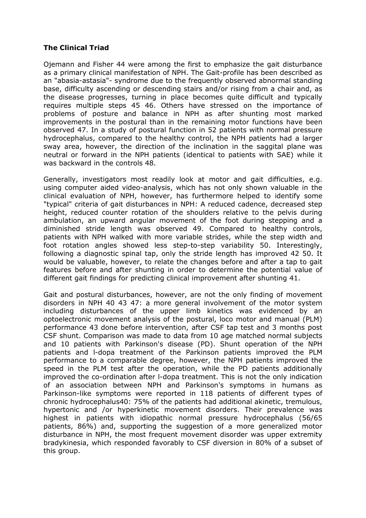# **The Clinical Triad**

Ojemann and Fisher 44 were among the first to emphasize the gait disturbance as a primary clinical manifestation of NPH. The Gait-profile has been described as an "abasia-astasia"- syndrome due to the frequently observed abnormal standing base, difficulty ascending or descending stairs and/or rising from a chair and, as the disease progresses, turning in place becomes quite difficult and typically requires multiple steps 45 46. Others have stressed on the importance of problems of posture and balance in NPH as after shunting most marked improvements in the postural than in the remaining motor functions have been observed 47. In a study of postural function in 52 patients with normal pressure hydrocephalus, compared to the healthy control, the NPH patients had a larger sway area, however, the direction of the inclination in the saggital plane was neutral or forward in the NPH patients (identical to patients with SAE) while it was backward in the controls 48.

Generally, investigators most readily look at motor and gait difficulties, e.g. using computer aided video-analysis, which has not only shown valuable in the clinical evaluation of NPH, however, has furthermore helped to identify some "typical" criteria of gait disturbances in NPH: A reduced cadence, decreased step height, reduced counter rotation of the shoulders relative to the pelvis during ambulation, an upward angular movement of the foot during stepping and a diminished stride length was observed 49. Compared to healthy controls, patients with NPH walked with more variable strides, while the step width and foot rotation angles showed less step-to-step variability 50. Interestingly, following a diagnostic spinal tap, only the stride length has improved 42 50. It would be valuable, however, to relate the changes before and after a tap to gait features before and after shunting in order to determine the potential value of different gait findings for predicting clinical improvement after shunting 41.

Gait and postural disturbances, however, are not the only finding of movement disorders in NPH 40 43 47: a more general involvement of the motor system including disturbances of the upper limb kinetics was evidenced by an optoelectronic movement analysis of the postural, loco motor and manual (PLM) performance 43 done before intervention, after CSF tap test and 3 months post CSF shunt. Comparison was made to data from 10 age matched normal subjects and 10 patients with Parkinson's disease (PD). Shunt operation of the NPH patients and l-dopa treatment of the Parkinson patients improved the PLM performance to a comparable degree, however, the NPH patients improved the speed in the PLM test after the operation, while the PD patients additionally improved the co-ordination after l-dopa treatment. This is not the only indication of an association between NPH and Parkinson's symptoms in humans as Parkinson-like symptoms were reported in 118 patients of different types of chronic hydrocephalus40: 75% of the patients had additional akinetic, tremulous, hypertonic and /or hyperkinetic movement disorders. Their prevalence was highest in patients with idiopathic normal pressure hydrocephalus (56/65 patients, 86%) and, supporting the suggestion of a more generalized motor disturbance in NPH, the most frequent movement disorder was upper extremity bradykinesia, which responded favorably to CSF diversion in 80% of a subset of this group.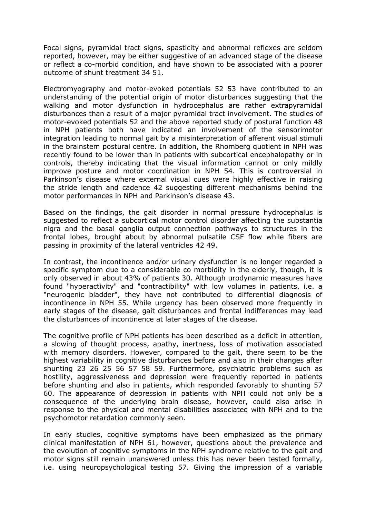Focal signs, pyramidal tract signs, spasticity and abnormal reflexes are seldom reported, however, may be either suggestive of an advanced stage of the disease or reflect a co-morbid condition, and have shown to be associated with a poorer outcome of shunt treatment 34 51.

Electromyography and motor-evoked potentials 52 53 have contributed to an understanding of the potential origin of motor disturbances suggesting that the walking and motor dysfunction in hydrocephalus are rather extrapyramidal disturbances than a result of a major pyramidal tract involvement. The studies of motor-evoked potentials 52 and the above reported study of postural function 48 in NPH patients both have indicated an involvement of the sensorimotor integration leading to normal gait by a misinterpretation of afferent visual stimuli in the brainstem postural centre. In addition, the Rhomberg quotient in NPH was recently found to be lower than in patients with subcortical encephalopathy or in controls, thereby indicating that the visual information cannot or only mildly improve posture and motor coordination in NPH 54. This is controversial in Parkinson's disease where external visual cues were highly effective in raising the stride length and cadence 42 suggesting different mechanisms behind the motor performances in NPH and Parkinson's disease 43.

Based on the findings, the gait disorder in normal pressure hydrocephalus is suggested to reflect a subcortical motor control disorder affecting the substantia nigra and the basal ganglia output connection pathways to structures in the frontal lobes, brought about by abnormal pulsatile CSF flow while fibers are passing in proximity of the lateral ventricles 42 49.

In contrast, the incontinence and/or urinary dysfunction is no longer regarded a specific symptom due to a considerable co morbidity in the elderly, though, it is only observed in about 43% of patients 30. Although urodynamic measures have found "hyperactivity" and "contractibility" with low volumes in patients, i.e. a "neurogenic bladder", they have not contributed to differential diagnosis of incontinence in NPH 55. While urgency has been observed more frequently in early stages of the disease, gait disturbances and frontal indifferences may lead the disturbances of incontinence at later stages of the disease.

The cognitive profile of NPH patients has been described as a deficit in attention, a slowing of thought process, apathy, inertness, loss of motivation associated with memory disorders. However, compared to the gait, there seem to be the highest variability in cognitive disturbances before and also in their changes after shunting 23 26 25 56 57 58 59. Furthermore, psychiatric problems such as hostility, aggressiveness and depression were frequently reported in patients before shunting and also in patients, which responded favorably to shunting 57 60. The appearance of depression in patients with NPH could not only be a consequence of the underlying brain disease, however, could also arise in response to the physical and mental disabilities associated with NPH and to the psychomotor retardation commonly seen.

In early studies, cognitive symptoms have been emphasized as the primary clinical manifestation of NPH 61, however, questions about the prevalence and the evolution of cognitive symptoms in the NPH syndrome relative to the gait and motor signs still remain unanswered unless this has never been tested formally, i.e. using neuropsychological testing 57. Giving the impression of a variable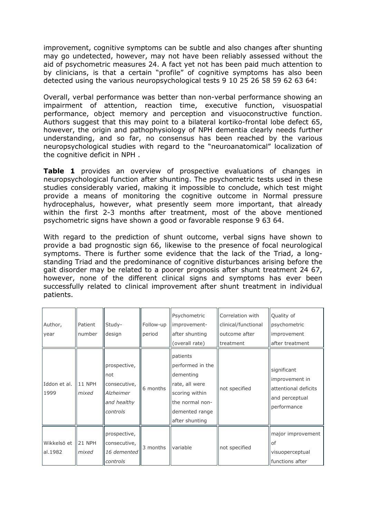improvement, cognitive symptoms can be subtle and also changes after shunting may go undetected, however, may not have been reliably assessed without the aid of psychometric measures 24. A fact yet not has been paid much attention to by clinicians, is that a certain "profile" of cognitive symptoms has also been detected using the various neuropsychological tests 9 10 25 26 58 59 62 63 64:

Overall, verbal performance was better than non-verbal performance showing an impairment of attention, reaction time, executive function, visuospatial performance, object memory and perception and visuoconstructive function. Authors suggest that this may point to a bilateral kortiko-frontal lobe defect 65, however, the origin and pathophysiology of NPH dementia clearly needs further understanding, and so far, no consensus has been reached by the various neuropsychological studies with regard to the "neuroanatomical" localization of the cognitive deficit in NPH .

**Table 1** provides an overview of prospective evaluations of changes in neuropsychological function after shunting. The psychometric tests used in these studies considerably varied, making it impossible to conclude, which test might provide a means of monitoring the cognitive outcome in Normal pressure hydrocephalus, however, what presently seem more important, that already within the first 2-3 months after treatment, most of the above mentioned psychometric signs have shown a good or favorable response 9 63 64.

With regard to the prediction of shunt outcome, verbal signs have shown to provide a bad prognostic sign 66, likewise to the presence of focal neurological symptoms. There is further some evidence that the lack of the Triad, a longstanding Triad and the predominance of cognitive disturbances arising before the gait disorder may be related to a poorer prognosis after shunt treatment 24 67, however, none of the different clinical signs and symptoms has ever been successfully related to clinical improvement after shunt treatment in individual patients.

| Author,<br>year        | Patient<br>number      | Study-<br>design                                                            | Follow-up<br>period | Psychometric<br>improvement-<br>after shunting<br>(overall rate)                                                                     | Correlation with<br>clinical/functional<br>outcome after<br>treatment | Quality of<br>psychometric<br>improvement<br>after treatment                           |
|------------------------|------------------------|-----------------------------------------------------------------------------|---------------------|--------------------------------------------------------------------------------------------------------------------------------------|-----------------------------------------------------------------------|----------------------------------------------------------------------------------------|
| Iddon et al.<br>1999   | <b>11 NPH</b><br>mixed | prospective,<br>not<br>consecutive,<br>Alzheimer<br>and healthy<br>controls | 6 months            | patients<br>performed in the<br>dementing<br>rate, all were<br>scoring within<br>the normal non-<br>demented range<br>after shunting | not specified                                                         | significant<br>improvement in<br>attentional deficits<br>and perceptual<br>performance |
| Wikkelsö et<br>al.1982 | 21 NPH<br>mixed        | prospective,<br>consecutive,<br>16 demented<br>controls                     | 3 months            | variable                                                                                                                             | not specified                                                         | major improvement<br>of<br>visuoperceptual<br>functions after                          |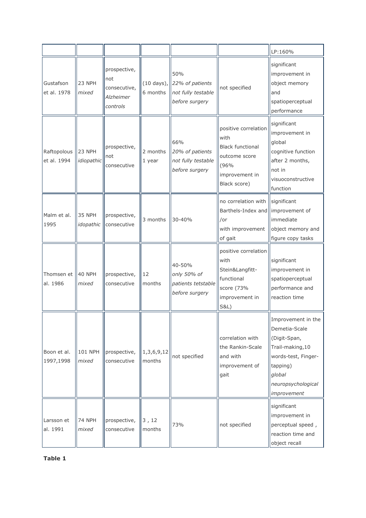|                            |                             |                                                              |                      |                                                                                      |                                                                                                                    | LP:160%                                                                                                                                                   |
|----------------------------|-----------------------------|--------------------------------------------------------------|----------------------|--------------------------------------------------------------------------------------|--------------------------------------------------------------------------------------------------------------------|-----------------------------------------------------------------------------------------------------------------------------------------------------------|
| Gustafson<br>et al. 1978   | 23 NPH<br>mixed             | prospective,<br>not<br>consecutive,<br>Alzheimer<br>controls | 6 months             | 50%<br>$(10 \text{ days})$ , 22% of patients<br>not fully testable<br>before surgery | not specified                                                                                                      | significant<br>improvement in<br>object memory<br>and<br>spatioperceptual<br>performance                                                                  |
| Raftopolous<br>et al. 1994 | <b>23 NPH</b><br>idiopathic | prospective,<br>not<br>consecutive                           | 2 months<br>1 year   | 66%<br>20% of patients<br>not fully testable<br>before surgery                       | positive correlation<br>with<br><b>Black functional</b><br>outcome score<br>(96%<br>improvement in<br>Black score) | significant<br>improvement in<br>global<br>cognitive function<br>after 2 months,<br>not in<br>visuoconstructive<br>function                               |
| Malm et al.<br>1995        | <b>35 NPH</b><br>idopathic  | prospective,<br>consecutive                                  | 3 months             | 30-40%                                                                               | no correlation with Significant<br>Barthels-Index and limprovement of<br>/or<br>with improvement<br>of gait        | immediate<br>object memory and<br>figure copy tasks                                                                                                       |
| Thomsen et<br>al. 1986     | 40 NPH<br>mixed             | prospective,<br>consecutive                                  | 12<br>months         | 40-50%<br>only 50% of<br>patients tetstable<br>before surgery                        | positive correlation<br>with<br>Stein&Langfitt-<br>functional<br>score (73%<br>improvement in<br><b>S&amp;L)</b>   | significant<br>improvement in<br>spatioperceptual<br>performance and<br>reaction time                                                                     |
| Boon et al.<br>1997,1998   | 101 NPH<br>mixed            | prospective,<br>consecutive                                  | 1,3,6,9,12<br>months | not specified                                                                        | correlation with<br>the Rankin-Scale<br>and with<br>improvement of<br>gait                                         | Improvement in the<br>Demetia-Scale<br>(Digit-Span,<br>Trail-making, 10<br>words-test, Finger-<br>tapping)<br>global<br>neuropsychological<br>improvement |
| Larsson et<br>al. 1991     | <b>74 NPH</b><br>mixed      | prospective,<br>consecutive                                  | 3, 12<br>months      | 73%                                                                                  | not specified                                                                                                      | significant<br>improvement in<br>perceptual speed,<br>reaction time and<br>object recall                                                                  |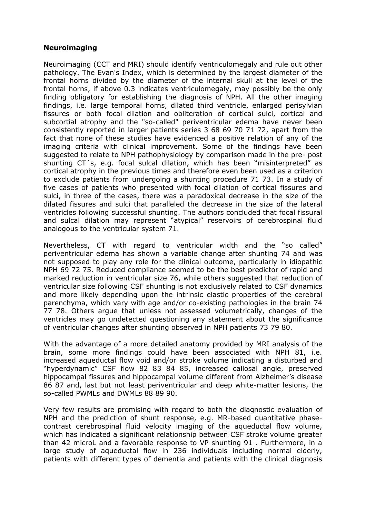#### **Neuroimaging**

Neuroimaging (CCT and MRI) should identify ventriculomegaly and rule out other pathology. The Evan's Index, which is determined by the largest diameter of the frontal horns divided by the diameter of the internal skull at the level of the frontal horns, if above 0.3 indicates ventriculomegaly, may possibly be the only finding obligatory for establishing the diagnosis of NPH. All the other imaging findings, i.e. large temporal horns, dilated third ventricle, enlarged perisylvian fissures or both focal dilation and obliteration of cortical sulci, cortical and subcortial atrophy and the "so-called" periventricular edema have never been consistently reported in larger patients series 3 68 69 70 71 72, apart from the fact that none of these studies have evidenced a positive relation of any of the imaging criteria with clinical improvement. Some of the findings have been suggested to relate to NPH pathophysiology by comparison made in the pre- post shunting CT´s, e.g. focal sulcal dilation, which has been "misinterpreted" as cortical atrophy in the previous times and therefore even been used as a criterion to exclude patients from undergoing a shunting procedure 71 73. In a study of five cases of patients who presented with focal dilation of cortical fissures and sulci, in three of the cases, there was a paradoxical decrease in the size of the dilated fissures and sulci that paralleled the decrease in the size of the lateral ventricles following successful shunting. The authors concluded that focal fissural and sulcal dilation may represent "atypical" reservoirs of cerebrospinal fluid analogous to the ventricular system 71.

Nevertheless, CT with regard to ventricular width and the "so called" periventricular edema has shown a variable change after shunting 74 and was not supposed to play any role for the clinical outcome, particularly in idiopathic NPH 69 72 75. Reduced compliance seemed to be the best predictor of rapid and marked reduction in ventricular size 76, while others suggested that reduction of ventricular size following CSF shunting is not exclusively related to CSF dynamics and more likely depending upon the intrinsic elastic properties of the cerebral parenchyma, which vary with age and/or co-existing pathologies in the brain 74 77 78. Others argue that unless not assessed volumetrically, changes of the ventricles may go undetected questioning any statement about the significance of ventricular changes after shunting observed in NPH patients 73 79 80.

With the advantage of a more detailed anatomy provided by MRI analysis of the brain, some more findings could have been associated with NPH 81, i.e. increased aqueductal flow void and/or stroke volume indicating a disturbed and "hyperdynamic" CSF flow 82 83 84 85, increased callosal angle, preserved hippocampal fissures and hippocampal volume different from Alzheimer's disease 86 87 and, last but not least periventricular and deep white-matter lesions, the so-called PWMLs and DWMLs 88 89 90.

Very few results are promising with regard to both the diagnostic evaluation of NPH and the prediction of shunt response, e.g. MR-based quantitative phasecontrast cerebrospinal fluid velocity imaging of the aqueductal flow volume, which has indicated a significant relationship between CSF stroke volume greater than 42 microL and a favorable response to VP shunting 91 . Furthermore, in a large study of aqueductal flow in 236 individuals including normal elderly, patients with different types of dementia and patients with the clinical diagnosis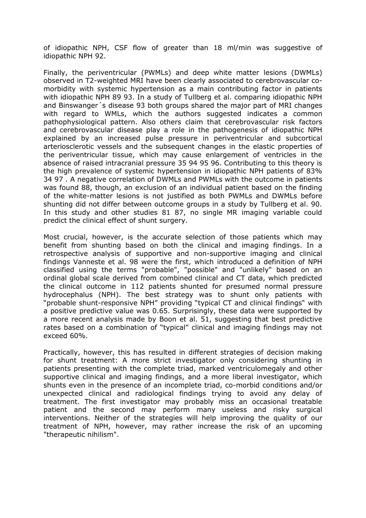of idiopathic NPH, CSF flow of greater than 18 ml/min was suggestive of idiopathic NPH 92.

Finally, the periventricular (PWMLs) and deep white matter lesions (DWMLs) observed in T2-weighted MRI have been clearly associated to cerebrovascular comorbidity with systemic hypertension as a main contributing factor in patients with idiopathic NPH 89 93. In a study of Tullberg et al. comparing idiopathic NPH and Binswanger´s disease 93 both groups shared the major part of MRI changes with regard to WMLs, which the authors suggested indicates a common pathophysiological pattern. Also others claim that cerebrovascular risk factors and cerebrovascular disease play a role in the pathogenesis of idiopathic NPH explained by an increased pulse pressure in periventricular and subcortical arteriosclerotic vessels and the subsequent changes in the elastic properties of the periventricular tissue, which may cause enlargement of ventricles in the absence of raised intracranial pressure 35 94 95 96. Contributing to this theory is the high prevalence of systemic hypertension in idiopathic NPH patients of 83% 34 97 . A negative correlation of DWMLs and PWMLs with the outcome in patients was found 88, though, an exclusion of an individual patient based on the finding of the white-matter lesions is not justified as both PWMLs and DWMLs before shunting did not differ between outcome groups in a study by Tullberg et al. 90. In this study and other studies 81 87, no single MR imaging variable could predict the clinical effect of shunt surgery.

Most crucial, however, is the accurate selection of those patients which may benefit from shunting based on both the clinical and imaging findings. In a retrospective analysis of supportive and non-supportive imaging and clinical findings Vanneste et al. 98 were the first, which introduced a definition of NPH classified using the terms "probable", "possible" and "unlikely" based on an ordinal global scale derived from combined clinical and CT data, which predicted the clinical outcome in 112 patients shunted for presumed normal pressure hydrocephalus (NPH). The best strategy was to shunt only patients with "probable shunt-responsive NPH" providing "typical CT and clinical findings" with a positive predictive value was 0.65. Surprisingly, these data were supported by a more recent analysis made by Boon et al. 51, suggesting that best predictive rates based on a combination of "typical" clinical and imaging findings may not exceed 60%.

Practically, however, this has resulted in different strategies of decision making for shunt treatment: A more strict investigator only considering shunting in patients presenting with the complete triad, marked ventriculomegaly and other supportive clinical and imaging findings, and a more liberal investigator, which shunts even in the presence of an incomplete triad, co-morbid conditions and/or unexpected clinical and radiological findings trying to avoid any delay of treatment. The first investigator may probably miss an occasional treatable patient and the second may perform many useless and risky surgical interventions. Neither of the strategies will help improving the quality of our treatment of NPH, however, may rather increase the risk of an upcoming "therapeutic nihilism".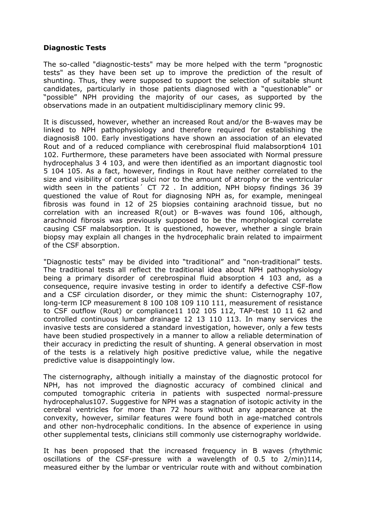### **Diagnostic Tests**

The so-called "diagnostic-tests" may be more helped with the term "prognostic tests" as they have been set up to improve the prediction of the result of shunting. Thus, they were supposed to support the selection of suitable shunt candidates, particularly in those patients diagnosed with a "questionable" or "possible" NPH providing the majority of our cases, as supported by the observations made in an outpatient multidisciplinary memory clinic 99.

It is discussed, however, whether an increased Rout and/or the B-waves may be linked to NPH pathophysiology and therefore required for establishing the diagnosis8 100. Early investigations have shown an association of an elevated Rout and of a reduced compliance with cerebrospinal fluid malabsorption4 101 102. Furthermore, these parameters have been associated with Normal pressure hydrocephalus 3 4 103, and were then identified as an important diagnostic tool 5 104 105. As a fact, however, findings in Rout have neither correlated to the size and visibility of cortical sulci nor to the amount of atrophy or the ventricular width seen in the patients<sup>'</sup> CT 72. In addition, NPH biopsy findings 36 39 questioned the value of Rout for diagnosing NPH as, for example, meningeal fibrosis was found in 12 of 25 biopsies containing arachnoid tissue, but no correlation with an increased R(out) or B-waves was found 106, although, arachnoid fibrosis was previously supposed to be the morphological correlate causing CSF malabsorption. It is questioned, however, whether a single brain biopsy may explain all changes in the hydrocephalic brain related to impairment of the CSF absorption.

"Diagnostic tests" may be divided into "traditional" and "non-traditional" tests. The traditional tests all reflect the traditional idea about NPH pathophysiology being a primary disorder of cerebrospinal fluid absorption 4 103 and, as a consequence, require invasive testing in order to identify a defective CSF-flow and a CSF circulation disorder, or they mimic the shunt: Cisternography 107, long-term ICP measurement 8 100 108 109 110 111, measurement of resistance to CSF outflow (Rout) or compliance11 102 105 112, TAP-test 10 11 62 and controlled continuous lumbar drainage 12 13 110 113. In many services the invasive tests are considered a standard investigation, however, only a few tests have been studied prospectively in a manner to allow a reliable determination of their accuracy in predicting the result of shunting. A general observation in most of the tests is a relatively high positive predictive value, while the negative predictive value is disappointingly low.

The cisternography, although initially a mainstay of the diagnostic protocol for NPH, has not improved the diagnostic accuracy of combined clinical and computed tomographic criteria in patients with suspected normal-pressure hydrocephalus107. Suggestive for NPH was a stagnation of isotopic activity in the cerebral ventricles for more than 72 hours without any appearance at the convexity, however, similar features were found both in age-matched controls and other non-hydrocephalic conditions. In the absence of experience in using other supplemental tests, clinicians still commonly use cisternography worldwide.

It has been proposed that the increased frequency in B waves (rhythmic oscillations of the CSF-pressure with a wavelength of 0.5 to 2/min)114, measured either by the lumbar or ventricular route with and without combination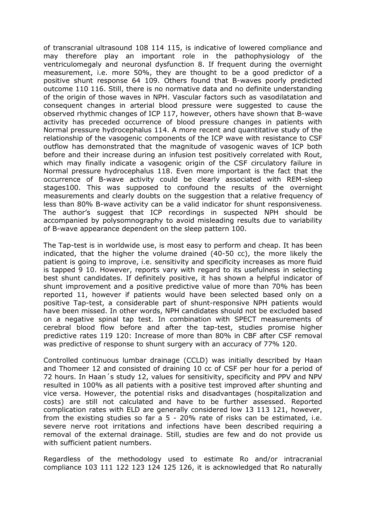of transcranial ultrasound 108 114 115, is indicative of lowered compliance and may therefore play an important role in the pathophysiology of the ventriculomegaly and neuronal dysfunction 8. If frequent during the overnight measurement, i.e. more 50%, they are thought to be a good predictor of a positive shunt response 64 109. Others found that B-waves poorly predicted outcome 110 116. Still, there is no normative data and no definite understanding of the origin of those waves in NPH. Vascular factors such as vasodilatation and consequent changes in arterial blood pressure were suggested to cause the observed rhythmic changes of ICP 117, however, others have shown that B-wave activity has preceded occurrence of blood pressure changes in patients with Normal pressure hydrocephalus 114. A more recent and quantitative study of the relationship of the vasogenic components of the ICP wave with resistance to CSF outflow has demonstrated that the magnitude of vasogenic waves of ICP both before and their increase during an infusion test positively correlated with Rout, which may finally indicate a vasogenic origin of the CSF circulatory failure in Normal pressure hydrocephalus 118. Even more important is the fact that the occurrence of B-wave activity could be clearly associated with REM-sleep stages100. This was supposed to confound the results of the overnight measurements and clearly doubts on the suggestion that a relative frequency of less than 80% B-wave activity can be a valid indicator for shunt responsiveness. The author's suggest that ICP recordings in suspected NPH should be accompanied by polysomnography to avoid misleading results due to variability of B-wave appearance dependent on the sleep pattern 100.

The Tap-test is in worldwide use, is most easy to perform and cheap. It has been indicated, that the higher the volume drained (40-50 cc), the more likely the patient is going to improve, i.e. sensitivity and specificity increases as more fluid is tapped 9 10. However, reports vary with regard to its usefulness in selecting best shunt candidates. If definitely positive, it has shown a helpful indicator of shunt improvement and a positive predictive value of more than 70% has been reported 11, however if patients would have been selected based only on a positive Tap-test, a considerable part of shunt-responsive NPH patients would have been missed. In other words, NPH candidates should not be excluded based on a negative spinal tap test. In combination with SPECT measurements of cerebral blood flow before and after the tap-test, studies promise higher predictive rates 119 120: Increase of more than 80% in CBF after CSF removal was predictive of response to shunt surgery with an accuracy of 77% 120.

Controlled continuous lumbar drainage (CCLD) was initially described by Haan and Thomeer 12 and consisted of draining 10 cc of CSF per hour for a period of 72 hours. In Haan´s study 12, values for sensitivity, specificity and PPV and NPV resulted in 100% as all patients with a positive test improved after shunting and vice versa. However, the potential risks and disadvantages (hospitalization and costs) are still not calculated and have to be further assessed. Reported complication rates with ELD are generally considered low 13 113 121, however, from the existing studies so far a 5 - 20% rate of risks can be estimated, i.e. severe nerve root irritations and infections have been described requiring a removal of the external drainage. Still, studies are few and do not provide us with sufficient patient numbers.

Regardless of the methodology used to estimate Ro and/or intracranial compliance 103 111 122 123 124 125 126, it is acknowledged that Ro naturally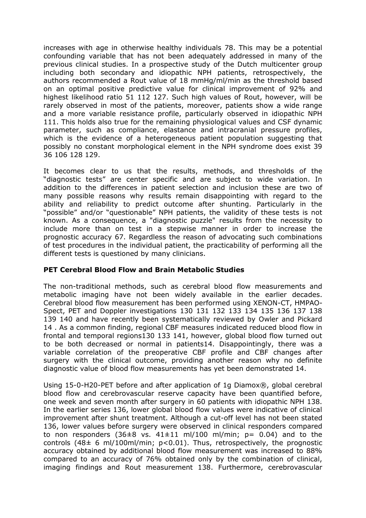increases with age in otherwise healthy individuals 78. This may be a potential confounding variable that has not been adequately addressed in many of the previous clinical studies. In a prospective study of the Dutch multicenter group including both secondary and idiopathic NPH patients, retrospectively, the authors recommended a Rout value of 18 mmHg/ml/min as the threshold based on an optimal positive predictive value for clinical improvement of 92% and highest likelihood ratio 51 112 127. Such high values of Rout, however, will be rarely observed in most of the patients, moreover, patients show a wide range and a more variable resistance profile, particularly observed in idiopathic NPH 111. This holds also true for the remaining physiological values and CSF dynamic parameter, such as compliance, elastance and intracranial pressure profiles, which is the evidence of a heterogeneous patient population suggesting that possibly no constant morphological element in the NPH syndrome does exist 39 36 106 128 129.

It becomes clear to us that the results, methods, and thresholds of the "diagnostic tests" are center specific and are subject to wide variation. In addition to the differences in patient selection and inclusion these are two of many possible reasons why results remain disappointing with regard to the ability and reliability to predict outcome after shunting. Particularly in the "possible" and/or "questionable" NPH patients, the validity of these tests is not known. As a consequence, a "diagnostic puzzle" results from the necessity to include more than on test in a stepwise manner in order to increase the prognostic accuracy 67. Regardless the reason of advocating such combinations of test procedures in the individual patient, the practicability of performing all the different tests is questioned by many clinicians.

### **PET Cerebral Blood Flow and Brain Metabolic Studies**

The non-traditional methods, such as cerebral blood flow measurements and metabolic imaging have not been widely available in the earlier decades. Cerebral blood flow measurement has been performed using XENON-CT, HMPAO-Spect, PET and Doppler investigations 130 131 132 133 134 135 136 137 138 139 140 and have recently been systematically reviewed by Owler and Pickard 14 . As a common finding, regional CBF measures indicated reduced blood flow in frontal and temporal regions130 133 141, however, global blood flow turned out to be both decreased or normal in patients14. Disappointingly, there was a variable correlation of the preoperative CBF profile and CBF changes after surgery with the clinical outcome, providing another reason why no definite diagnostic value of blood flow measurements has yet been demonstrated 14.

Using 15-0-H20-PET before and after application of 1g Diamox®, global cerebral blood flow and cerebrovascular reserve capacity have been quantified before, one week and seven month after surgery in 60 patients with idiopathic NPH 138. In the earlier series 136, lower global blood flow values were indicative of clinical improvement after shunt treatment. Although a cut-off level has not been stated 136, lower values before surgery were observed in clinical responders compared to non responders  $(36\pm8$  vs.  $41\pm11$  ml/100 ml/min;  $p= 0.04$ ) and to the controls (48 $\pm$  6 ml/100ml/min; p<0.01). Thus, retrospectively, the prognostic accuracy obtained by additional blood flow measurement was increased to 88% compared to an accuracy of 76% obtained only by the combination of clinical, imaging findings and Rout measurement 138. Furthermore, cerebrovascular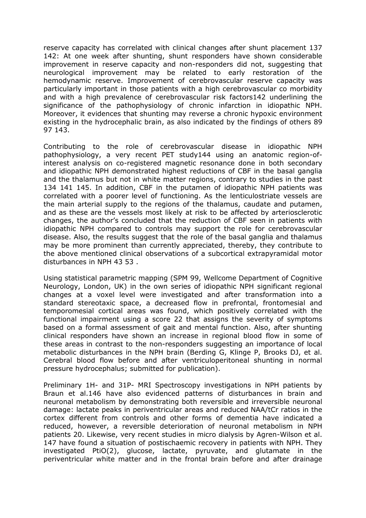reserve capacity has correlated with clinical changes after shunt placement 137 142: At one week after shunting, shunt responders have shown considerable improvement in reserve capacity and non-responders did not, suggesting that neurological improvement may be related to early restoration of the hemodynamic reserve. Improvement of cerebrovascular reserve capacity was particularly important in those patients with a high cerebrovascular co morbidity and with a high prevalence of cerebrovascular risk factors142 underlining the significance of the pathophysiology of chronic infarction in idiopathic NPH. Moreover, it evidences that shunting may reverse a chronic hypoxic environment existing in the hydrocephalic brain, as also indicated by the findings of others 89 97 143.

Contributing to the role of cerebrovascular disease in idiopathic NPH pathophysiology, a very recent PET study144 using an anatomic region-ofinterest analysis on co-registered magnetic resonance done in both secondary and idiopathic NPH demonstrated highest reductions of CBF in the basal ganglia and the thalamus but not in white matter regions, contrary to studies in the past 134 141 145. In addition, CBF in the putamen of idiopathic NPH patients was correlated with a poorer level of functioning. As the lenticulostriate vessels are the main arterial supply to the regions of the thalamus, caudate and putamen, and as these are the vessels most likely at risk to be affected by arteriosclerotic changes, the author's concluded that the reduction of CBF seen in patients with idiopathic NPH compared to controls may support the role for cerebrovascular disease. Also, the results suggest that the role of the basal ganglia and thalamus may be more prominent than currently appreciated, thereby, they contribute to the above mentioned clinical observations of a subcortical extrapyramidal motor disturbances in NPH 43 53 .

Using statistical parametric mapping (SPM 99, Wellcome Department of Cognitive Neurology, London, UK) in the own series of idiopathic NPH significant regional changes at a voxel level were investigated and after transformation into a standard stereotaxic space, a decreased flow in prefrontal, frontomesial and temporomesial cortical areas was found, which positively correlated with the functional impairment using a score 22 that assigns the severity of symptoms based on a formal assessment of gait and mental function. Also, after shunting clinical responders have shown an increase in regional blood flow in some of these areas in contrast to the non-responders suggesting an importance of local metabolic disturbances in the NPH brain (Berding G, Klinge P, Brooks DJ, et al. Cerebral blood flow before and after ventriculoperitoneal shunting in normal pressure hydrocephalus; submitted for publication).

Preliminary 1H- and 31P- MRI Spectroscopy investigations in NPH patients by Braun et al.146 have also evidenced patterns of disturbances in brain and neuronal metabolism by demonstrating both reversible and irreversible neuronal damage: lactate peaks in periventricular areas and reduced NAA/tCr ratios in the cortex different from controls and other forms of dementia have indicated a reduced, however, a reversible deterioration of neuronal metabolism in NPH patients 20. Likewise, very recent studies in micro dialysis by Agren-Wilson et al. 147 have found a situation of postischaemic recovery in patients with NPH. They investigated PtiO(2), glucose, lactate, pyruvate, and glutamate in the periventricular white matter and in the frontal brain before and after drainage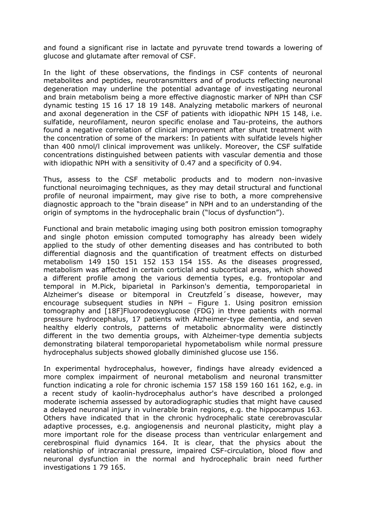and found a significant rise in lactate and pyruvate trend towards a lowering of glucose and glutamate after removal of CSF.

In the light of these observations, the findings in CSF contents of neuronal metabolites and peptides, neurotransmitters and of products reflecting neuronal degeneration may underline the potential advantage of investigating neuronal and brain metabolism being a more effective diagnostic marker of NPH than CSF dynamic testing 15 16 17 18 19 148. Analyzing metabolic markers of neuronal and axonal degeneration in the CSF of patients with idiopathic NPH 15 148, i.e. sulfatide, neurofilament, neuron specific enolase and Tau-proteins, the authors found a negative correlation of clinical improvement after shunt treatment with the concentration of some of the markers: In patients with sulfatide levels higher than 400 nmol/l clinical improvement was unlikely. Moreover, the CSF sulfatide concentrations distinguished between patients with vascular dementia and those with idiopathic NPH with a sensitivity of 0.47 and a specificity of 0.94.

Thus, assess to the CSF metabolic products and to modern non-invasive functional neuroimaging techniques, as they may detail structural and functional profile of neuronal impairment, may give rise to both, a more comprehensive diagnostic approach to the "brain disease" in NPH and to an understanding of the origin of symptoms in the hydrocephalic brain ("locus of dysfunction").

Functional and brain metabolic imaging using both positron emission tomography and single photon emission computed tomography has already been widely applied to the study of other dementing diseases and has contributed to both differential diagnosis and the quantification of treatment effects on disturbed metabolism 149 150 151 152 153 154 155. As the diseases progressed, metabolism was affected in certain corticlal and subcortical areas, which showed a different profile among the various dementia types, e.g. frontopolar and temporal in M.Pick, biparietal in Parkinson's dementia, temporoparietal in Alzheimer's disease or bitemporal in Creutzfeld´s disease, however, may encourage subsequent studies in NPH – Figure 1. Using positron emission tomography and [18F]Fluorodeoxyglucose (FDG) in three patients with normal pressure hydrocephalus, 17 patients with Alzheimer-type dementia, and seven healthy elderly controls, patterns of metabolic abnormality were distinctly different in the two dementia groups, with Alzheimer-type dementia subjects demonstrating bilateral temporoparietal hypometabolism while normal pressure hydrocephalus subjects showed globally diminished glucose use 156.

In experimental hydrocephalus, however, findings have already evidenced a more complex impairment of neuronal metabolism and neuronal transmitter function indicating a role for chronic ischemia 157 158 159 160 161 162, e.g. in a recent study of kaolin-hydrocephalus author's have described a prolonged moderate ischemia assessed by autoradiographic studies that might have caused a delayed neuronal injury in vulnerable brain regions, e.g. the hippocampus 163. Others have indicated that in the chronic hydrocephalic state cerebrovascular adaptive processes, e.g. angiogenensis and neuronal plasticity, might play a more important role for the disease process than ventricular enlargement and cerebrospinal fluid dynamics 164. It is clear, that the physics about the relationship of intracranial pressure, impaired CSF-circulation, blood flow and neuronal dysfunction in the normal and hydrocephalic brain need further investigations 1 79 165.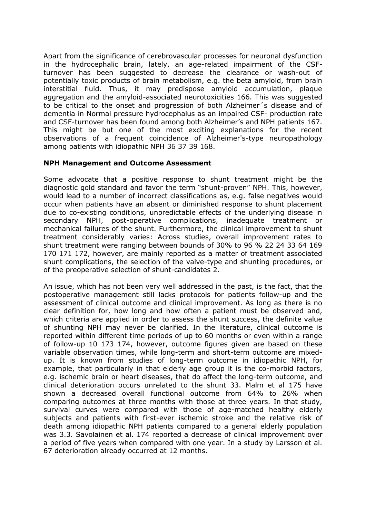Apart from the significance of cerebrovascular processes for neuronal dysfunction in the hydrocephalic brain, lately, an age-related impairment of the CSFturnover has been suggested to decrease the clearance or wash-out of potentially toxic products of brain metabolism, e.g. the beta amyloid, from brain interstitial fluid. Thus, it may predispose amyloid accumulation, plaque aggregation and the amyloid-associated neurotoxicities 166. This was suggested to be critical to the onset and progression of both Alzheimer´s disease and of dementia in Normal pressure hydrocephalus as an impaired CSF- production rate and CSF-turnover has been found among both Alzheimer's and NPH patients 167. This might be but one of the most exciting explanations for the recent observations of a frequent coincidence of Alzheimer's-type neuropathology among patients with idiopathic NPH 36 37 39 168.

### **NPH Management and Outcome Assessment**

Some advocate that a positive response to shunt treatment might be the diagnostic gold standard and favor the term "shunt-proven" NPH. This, however, would lead to a number of incorrect classifications as, e.g. false negatives would occur when patients have an absent or diminished response to shunt placement due to co-existing conditions, unpredictable effects of the underlying disease in secondary NPH, post-operative complications, inadequate treatment or mechanical failures of the shunt. Furthermore, the clinical improvement to shunt treatment considerably varies: Across studies, overall improvement rates to shunt treatment were ranging between bounds of 30% to 96 % 22 24 33 64 169 170 171 172, however, are mainly reported as a matter of treatment associated shunt complications, the selection of the valve-type and shunting procedures, or of the preoperative selection of shunt-candidates 2.

An issue, which has not been very well addressed in the past, is the fact, that the postoperative management still lacks protocols for patients follow-up and the assessment of clinical outcome and clinical improvement. As long as there is no clear definition for, how long and how often a patient must be observed and, which criteria are applied in order to assess the shunt success, the definite value of shunting NPH may never be clarified. In the literature, clinical outcome is reported within different time periods of up to 60 months or even within a range of follow-up 10 173 174, however, outcome figures given are based on these variable observation times, while long-term and short-term outcome are mixedup. It is known from studies of long-term outcome in idiopathic NPH, for example, that particularly in that elderly age group it is the co-morbid factors, e.g. ischemic brain or heart diseases, that do affect the long-term outcome, and clinical deterioration occurs unrelated to the shunt 33. Malm et al 175 have shown a decreased overall functional outcome from 64% to 26% when comparing outcomes at three months with those at three years. In that study, survival curves were compared with those of age-matched healthy elderly subjects and patients with first-ever ischemic stroke and the relative risk of death among idiopathic NPH patients compared to a general elderly population was 3.3. Savolainen et al. 174 reported a decrease of clinical improvement over a period of five years when compared with one year. In a study by Larsson et al. 67 deterioration already occurred at 12 months.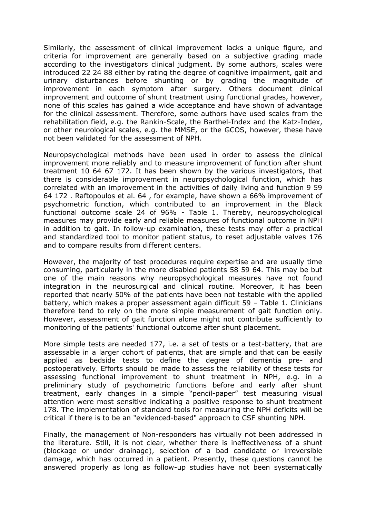Similarly, the assessment of clinical improvement lacks a unique figure, and criteria for improvement are generally based on a subjective grading made according to the investigators clinical judgment. By some authors, scales were introduced 22 24 88 either by rating the degree of cognitive impairment, gait and urinary disturbances before shunting or by grading the magnitude of improvement in each symptom after surgery. Others document clinical improvement and outcome of shunt treatment using functional grades, however, none of this scales has gained a wide acceptance and have shown of advantage for the clinical assessment. Therefore, some authors have used scales from the rehabilitation field, e.g. the Rankin-Scale, the Barthel-Index and the Katz-Index, or other neurological scales, e.g. the MMSE, or the GCOS, however, these have not been validated for the assessment of NPH.

Neuropsychological methods have been used in order to assess the clinical improvement more reliably and to measure improvement of function after shunt treatment 10 64 67 172. It has been shown by the various investigators, that there is considerable improvement in neuropsychological function, which has correlated with an improvement in the activities of daily living and function 9 59 64 172 . Raftopoulos et al. 64 , for example, have shown a 66% improvement of psychometric function, which contributed to an improvement in the Black functional outcome scale 24 of 96% - Table 1. Thereby, neuropsychological measures may provide early and reliable measures of functional outcome in NPH in addition to gait. In follow-up examination, these tests may offer a practical and standardized tool to monitor patient status, to reset adjustable valves 176 and to compare results from different centers.

However, the majority of test procedures require expertise and are usually time consuming, particularly in the more disabled patients 58 59 64. This may be but one of the main reasons why neuropsychological measures have not found integration in the neurosurgical and clinical routine. Moreover, it has been reported that nearly 50% of the patients have been not testable with the applied battery, which makes a proper assessment again difficult 59 – Table 1. Clinicians therefore tend to rely on the more simple measurement of gait function only. However, assessment of gait function alone might not contribute sufficiently to monitoring of the patients' functional outcome after shunt placement.

More simple tests are needed 177, i.e. a set of tests or a test-battery, that are assessable in a larger cohort of patients, that are simple and that can be easily applied as bedside tests to define the degree of dementia pre- and postoperatively. Efforts should be made to assess the reliability of these tests for assessing functional improvement to shunt treatment in NPH, e.g. in a preliminary study of psychometric functions before and early after shunt treatment, early changes in a simple "pencil-paper" test measuring visual attention were most sensitive indicating a positive response to shunt treatment 178. The implementation of standard tools for measuring the NPH deficits will be critical if there is to be an "evidenced-based" approach to CSF shunting NPH.

Finally, the management of Non-responders has virtually not been addressed in the literature. Still, it is not clear, whether there is ineffectiveness of a shunt (blockage or under drainage), selection of a bad candidate or irreversible damage, which has occurred in a patient. Presently, these questions cannot be answered properly as long as follow-up studies have not been systematically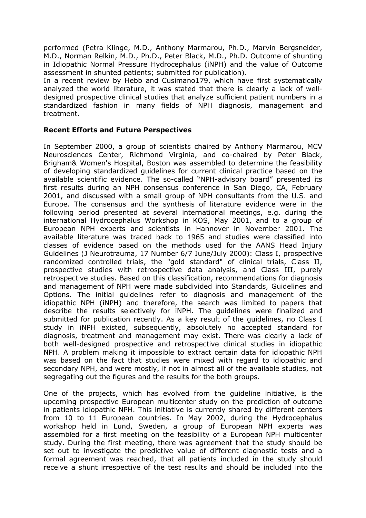performed (Petra Klinge, M.D., Anthony Marmarou, Ph.D., Marvin Bergsneider, M.D., Norman Relkin, M.D., Ph.D., Peter Black, M.D., Ph.D. Outcome of shunting in Idiopathic Normal Pressure Hydrocephalus (iNPH) and the value of Outcome assessment in shunted patients; submitted for publication).

In a recent review by Hebb and Cusimano179, which have first systematically analyzed the world literature, it was stated that there is clearly a lack of welldesigned prospective clinical studies that analyze sufficient patient numbers in a standardized fashion in many fields of NPH diagnosis, management and treatment.

# **Recent Efforts and Future Perspectives**

In September 2000, a group of scientists chaired by Anthony Marmarou, MCV Neurosciences Center, Richmond Virginia, and co-chaired by Peter Black, Brigham& Women's Hospital, Boston was assembled to determine the feasibility of developing standardized guidelines for current clinical practice based on the available scientific evidence. The so-called "NPH-advisory board" presented its first results during an NPH consensus conference in San Diego, CA, February 2001, and discussed with a small group of NPH consultants from the U.S. and Europe. The consensus and the synthesis of literature evidence were in the following period presented at several international meetings, e.g. during the international Hydrocephalus Workshop in KOS, May 2001, and to a group of European NPH experts and scientists in Hannover in November 2001. The available literature was traced back to 1965 and studies were classified into classes of evidence based on the methods used for the AANS Head Injury Guidelines (J Neurotrauma, 17 Number 6/7 June/July 2000): Class I, prospective randomized controlled trials, the "gold standard" of clinical trials, Class II, prospective studies with retrospective data analysis, and Class III, purely retrospective studies. Based on this classification, recommendations for diagnosis and management of NPH were made subdivided into Standards, Guidelines and Options. The initial guidelines refer to diagnosis and management of the idiopathic NPH (iNPH) and therefore, the search was limited to papers that describe the results selectively for iNPH. The guidelines were finalized and submitted for publication recently. As a key result of the guidelines, no Class I study in iNPH existed, subsequently, absolutely no accepted standard for diagnosis, treatment and management may exist. There was clearly a lack of both well-designed prospective and retrospective clinical studies in idiopathic NPH. A problem making it impossible to extract certain data for idiopathic NPH was based on the fact that studies were mixed with regard to idiopathic and secondary NPH, and were mostly, if not in almost all of the available studies, not segregating out the figures and the results for the both groups.

One of the projects, which has evolved from the guideline initiative, is the upcoming prospective European multicenter study on the prediction of outcome in patients idiopathic NPH. This initiative is currently shared by different centers from 10 to 11 European countries. In May 2002, during the Hydrocephalus workshop held in Lund, Sweden, a group of European NPH experts was assembled for a first meeting on the feasibility of a European NPH multicenter study. During the first meeting, there was agreement that the study should be set out to investigate the predictive value of different diagnostic tests and a formal agreement was reached, that all patients included in the study should receive a shunt irrespective of the test results and should be included into the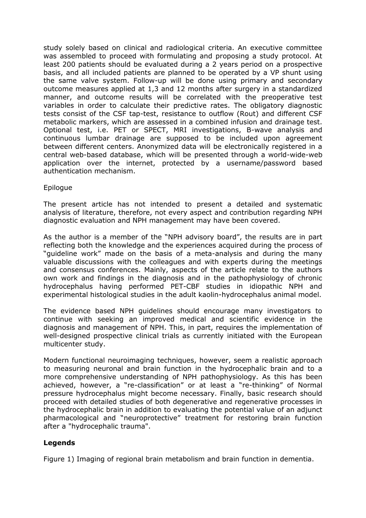study solely based on clinical and radiological criteria. An executive committee was assembled to proceed with formulating and proposing a study protocol. At least 200 patients should be evaluated during a 2 years period on a prospective basis, and all included patients are planned to be operated by a VP shunt using the same valve system. Follow-up will be done using primary and secondary outcome measures applied at 1,3 and 12 months after surgery in a standardized manner, and outcome results will be correlated with the preoperative test variables in order to calculate their predictive rates. The obligatory diagnostic tests consist of the CSF tap-test, resistance to outflow (Rout) and different CSF metabolic markers, which are assessed in a combined infusion and drainage test. Optional test, i.e. PET or SPECT, MRI investigations, B-wave analysis and continuous lumbar drainage are supposed to be included upon agreement between different centers. Anonymized data will be electronically registered in a central web-based database, which will be presented through a world-wide-web application over the internet, protected by a username/password based authentication mechanism.

### Epilogue

The present article has not intended to present a detailed and systematic analysis of literature, therefore, not every aspect and contribution regarding NPH diagnostic evaluation and NPH management may have been covered.

As the author is a member of the "NPH advisory board", the results are in part reflecting both the knowledge and the experiences acquired during the process of "guideline work" made on the basis of a meta-analysis and during the many valuable discussions with the colleagues and with experts during the meetings and consensus conferences. Mainly, aspects of the article relate to the authors own work and findings in the diagnosis and in the pathophysiology of chronic hydrocephalus having performed PET-CBF studies in idiopathic NPH and experimental histological studies in the adult kaolin-hydrocephalus animal model.

The evidence based NPH guidelines should encourage many investigators to continue with seeking an improved medical and scientific evidence in the diagnosis and management of NPH. This, in part, requires the implementation of well-designed prospective clinical trials as currently initiated with the European multicenter study.

Modern functional neuroimaging techniques, however, seem a realistic approach to measuring neuronal and brain function in the hydrocephalic brain and to a more comprehensive understanding of NPH pathophysiology. As this has been achieved, however, a "re-classification" or at least a "re-thinking" of Normal pressure hydrocephalus might become necessary. Finally, basic research should proceed with detailed studies of both degenerative and regenerative processes in the hydrocephalic brain in addition to evaluating the potential value of an adjunct pharmacological and "neuroprotective" treatment for restoring brain function after a "hydrocephalic trauma".

### **Legends**

Figure 1) Imaging of regional brain metabolism and brain function in dementia.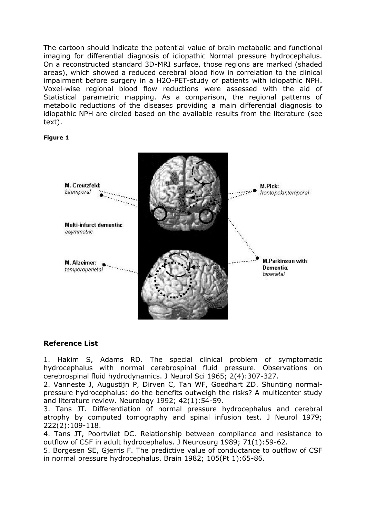The cartoon should indicate the potential value of brain metabolic and functional imaging for differential diagnosis of idiopathic Normal pressure hydrocephalus. On a reconstructed standard 3D-MRI surface, those regions are marked (shaded areas), which showed a reduced cerebral blood flow in correlation to the clinical impairment before surgery in a H2O-PET-study of patients with idiopathic NPH. Voxel-wise regional blood flow reductions were assessed with the aid of Statistical parametric mapping. As a comparison, the regional patterns of metabolic reductions of the diseases providing a main differential diagnosis to idiopathic NPH are circled based on the available results from the literature (see text).

#### **Figure 1**



### **Reference List**

1. Hakim S, Adams RD. The special clinical problem of symptomatic hydrocephalus with normal cerebrospinal fluid pressure. Observations on cerebrospinal fluid hydrodynamics. J Neurol Sci 1965; 2(4):307-327.

2. Vanneste J, Augustijn P, Dirven C, Tan WF, Goedhart ZD. Shunting normalpressure hydrocephalus: do the benefits outweigh the risks? A multicenter study and literature review. Neurology 1992; 42(1):54-59.

3. Tans JT. Differentiation of normal pressure hydrocephalus and cerebral atrophy by computed tomography and spinal infusion test. J Neurol 1979; 222(2):109-118.

4. Tans JT, Poortvliet DC. Relationship between compliance and resistance to outflow of CSF in adult hydrocephalus. J Neurosurg 1989; 71(1):59-62.

5. Borgesen SE, Gjerris F. The predictive value of conductance to outflow of CSF in normal pressure hydrocephalus. Brain 1982; 105(Pt 1):65-86.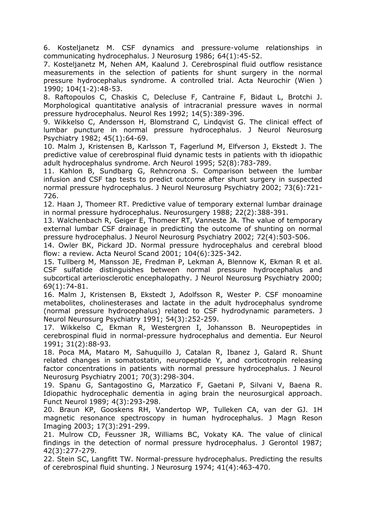6. Kosteljanetz M. CSF dynamics and pressure-volume relationships in communicating hydrocephalus. J Neurosurg 1986; 64(1):45-52.

7. Kosteljanetz M, Nehen AM, Kaalund J. Cerebrospinal fluid outflow resistance measurements in the selection of patients for shunt surgery in the normal pressure hydrocephalus syndrome. A controlled trial. Acta Neurochir (Wien ) 1990; 104(1-2):48-53.

8. Raftopoulos C, Chaskis C, Delecluse F, Cantraine F, Bidaut L, Brotchi J. Morphological quantitative analysis of intracranial pressure waves in normal pressure hydrocephalus. Neurol Res 1992; 14(5):389-396.

9. Wikkelso C, Andersson H, Blomstrand C, Lindqvist G. The clinical effect of lumbar puncture in normal pressure hydrocephalus. J Neurol Neurosurg Psychiatry 1982; 45(1):64-69.

10. Malm J, Kristensen B, Karlsson T, Fagerlund M, Elfverson J, Ekstedt J. The predictive value of cerebrospinal fluid dynamic tests in patients with th idiopathic adult hydrocephalus syndrome. Arch Neurol 1995; 52(8):783-789.

11. Kahlon B, Sundbarg G, Rehncrona S. Comparison between the lumbar infusion and CSF tap tests to predict outcome after shunt surgery in suspected normal pressure hydrocephalus. J Neurol Neurosurg Psychiatry 2002; 73(6):721- 726.

12. Haan J, Thomeer RT. Predictive value of temporary external lumbar drainage in normal pressure hydrocephalus. Neurosurgery 1988; 22(2):388-391.

13. Walchenbach R, Geiger E, Thomeer RT, Vanneste JA. The value of temporary external lumbar CSF drainage in predicting the outcome of shunting on normal pressure hydrocephalus. J Neurol Neurosurg Psychiatry 2002; 72(4):503-506.

14. Owler BK, Pickard JD. Normal pressure hydrocephalus and cerebral blood flow: a review. Acta Neurol Scand 2001; 104(6):325-342.

15. Tullberg M, Mansson JE, Fredman P, Lekman A, Blennow K, Ekman R et al. CSF sulfatide distinguishes between normal pressure hydrocephalus and subcortical arteriosclerotic encephalopathy. J Neurol Neurosurg Psychiatry 2000; 69(1):74-81.

16. Malm J, Kristensen B, Ekstedt J, Adolfsson R, Wester P. CSF monoamine metabolites, cholinesterases and lactate in the adult hydrocephalus syndrome (normal pressure hydrocephalus) related to CSF hydrodynamic parameters. J Neurol Neurosurg Psychiatry 1991; 54(3):252-259.

17. Wikkelso C, Ekman R, Westergren I, Johansson B. Neuropeptides in cerebrospinal fluid in normal-pressure hydrocephalus and dementia. Eur Neurol 1991; 31(2):88-93.

18. Poca MA, Mataro M, Sahuquillo J, Catalan R, Ibanez J, Galard R. Shunt related changes in somatostatin, neuropeptide Y, and corticotropin releasing factor concentrations in patients with normal pressure hydrocephalus. J Neurol Neurosurg Psychiatry 2001; 70(3):298-304.

19. Spanu G, Santagostino G, Marzatico F, Gaetani P, Silvani V, Baena R. Idiopathic hydrocephalic dementia in aging brain the neurosurgical approach. Funct Neurol 1989; 4(3):293-298.

20. Braun KP, Gooskens RH, Vandertop WP, Tulleken CA, van der GJ. 1H magnetic resonance spectroscopy in human hydrocephalus. J Magn Reson Imaging 2003; 17(3):291-299.

21. Mulrow CD, Feussner JR, Williams BC, Vokaty KA. The value of clinical findings in the detection of normal pressure hydrocephalus. J Gerontol 1987; 42(3):277-279.

22. Stein SC, Langfitt TW. Normal-pressure hydrocephalus. Predicting the results of cerebrospinal fluid shunting. J Neurosurg 1974; 41(4):463-470.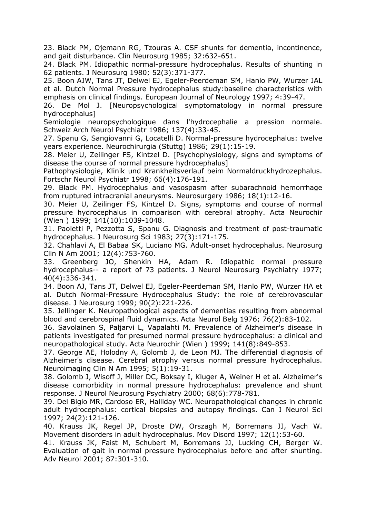23. Black PM, Ojemann RG, Tzouras A. CSF shunts for dementia, incontinence, and gait disturbance. Clin Neurosurg 1985; 32:632-651.

24. Black PM. Idiopathic normal-pressure hydrocephalus. Results of shunting in 62 patients. J Neurosurg 1980; 52(3):371-377.

25. Boon AJW, Tans JT, Delwel EJ, Egeler-Peerdeman SM, Hanlo PW, Wurzer JAL et al. Dutch Normal Pressure hydrocephalus study:baseline characteristics with emphasis on clinical findings. European Journal of Neurology 1997; 4:39-47.

26. De Mol J. [Neuropsychological symptomatology in normal pressure hydrocephalus]

Semiologie neuropsychologique dans l'hydrocephalie a pression normale. Schweiz Arch Neurol Psychiatr 1986; 137(4):33-45.

27. Spanu G, Sangiovanni G, Locatelli D. Normal-pressure hydrocephalus: twelve years experience. Neurochirurgia (Stuttg) 1986; 29(1):15-19.

28. Meier U, Zeilinger FS, Kintzel D. [Psychophysiology, signs and symptoms of disease the course of normal pressure hydrocephalus]

Pathophysiologie, Klinik und Krankheitsverlauf beim Normaldruckhydrozephalus. Fortschr Neurol Psychiatr 1998; 66(4):176-191.

29. Black PM. Hydrocephalus and vasospasm after subarachnoid hemorrhage from ruptured intracranial aneurysms. Neurosurgery 1986; 18(1):12-16.

30. Meier U, Zeilinger FS, Kintzel D. Signs, symptoms and course of normal pressure hydrocephalus in comparison with cerebral atrophy. Acta Neurochir (Wien ) 1999; 141(10):1039-1048.

31. Paoletti P, Pezzotta S, Spanu G. Diagnosis and treatment of post-traumatic hydrocephalus. J Neurosurg Sci 1983; 27(3):171-175.

32. Chahlavi A, El Babaa SK, Luciano MG. Adult-onset hydrocephalus. Neurosurg Clin N Am 2001; 12(4):753-760.

33. Greenberg JO, Shenkin HA, Adam R. Idiopathic normal pressure hydrocephalus-- a report of 73 patients. J Neurol Neurosurg Psychiatry 1977; 40(4):336-341.

34. Boon AJ, Tans JT, Delwel EJ, Egeler-Peerdeman SM, Hanlo PW, Wurzer HA et al. Dutch Normal-Pressure Hydrocephalus Study: the role of cerebrovascular disease. J Neurosurg 1999; 90(2):221-226.

35. Jellinger K. Neuropathological aspects of dementias resulting from abnormal blood and cerebrospinal fluid dynamics. Acta Neurol Belg 1976; 76(2):83-102.

36. Savolainen S, Paljarvi L, Vapalahti M. Prevalence of Alzheimer's disease in patients investigated for presumed normal pressure hydrocephalus: a clinical and neuropathological study. Acta Neurochir (Wien ) 1999; 141(8):849-853.

37. George AE, Holodny A, Golomb J, de Leon MJ. The differential diagnosis of Alzheimer's disease. Cerebral atrophy versus normal pressure hydrocephalus. Neuroimaging Clin N Am 1995; 5(1):19-31.

38. Golomb J, Wisoff J, Miller DC, Boksay I, Kluger A, Weiner H et al. Alzheimer's disease comorbidity in normal pressure hydrocephalus: prevalence and shunt response. J Neurol Neurosurg Psychiatry 2000; 68(6):778-781.

39. Del Bigio MR, Cardoso ER, Halliday WC. Neuropathological changes in chronic adult hydrocephalus: cortical biopsies and autopsy findings. Can J Neurol Sci 1997; 24(2):121-126.

40. Krauss JK, Regel JP, Droste DW, Orszagh M, Borremans JJ, Vach W. Movement disorders in adult hydrocephalus. Mov Disord 1997; 12(1):53-60.

41. Krauss JK, Faist M, Schubert M, Borremans JJ, Lucking CH, Berger W. Evaluation of gait in normal pressure hydrocephalus before and after shunting. Adv Neurol 2001; 87:301-310.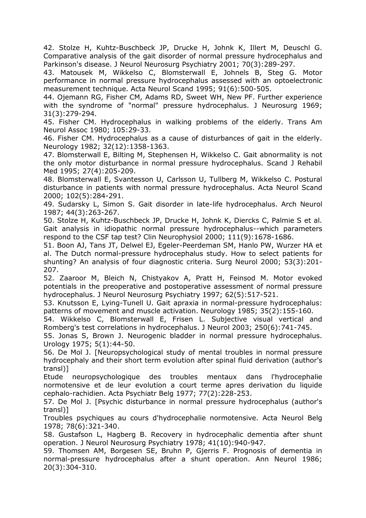42. Stolze H, Kuhtz-Buschbeck JP, Drucke H, Johnk K, Illert M, Deuschl G. Comparative analysis of the gait disorder of normal pressure hydrocephalus and Parkinson's disease. J Neurol Neurosurg Psychiatry 2001; 70(3):289-297.

43. Matousek M, Wikkelso C, Blomsterwall E, Johnels B, Steg G. Motor performance in normal pressure hydrocephalus assessed with an optoelectronic measurement technique. Acta Neurol Scand 1995; 91(6):500-505.

44. Ojemann RG, Fisher CM, Adams RD, Sweet WH, New PF. Further experience with the syndrome of "normal" pressure hydrocephalus. J Neurosurg 1969; 31(3):279-294.

45. Fisher CM. Hydrocephalus in walking problems of the elderly. Trans Am Neurol Assoc 1980; 105:29-33.

46. Fisher CM. Hydrocephalus as a cause of disturbances of gait in the elderly. Neurology 1982; 32(12):1358-1363.

47. Blomsterwall E, Bilting M, Stephensen H, Wikkelso C. Gait abnormality is not the only motor disturbance in normal pressure hydrocephalus. Scand J Rehabil Med 1995; 27(4):205-209.

48. Blomsterwall E, Svantesson U, Carlsson U, Tullberg M, Wikkelso C. Postural disturbance in patients with normal pressure hydrocephalus. Acta Neurol Scand 2000; 102(5):284-291.

49. Sudarsky L, Simon S. Gait disorder in late-life hydrocephalus. Arch Neurol 1987; 44(3):263-267.

50. Stolze H, Kuhtz-Buschbeck JP, Drucke H, Johnk K, Diercks C, Palmie S et al. Gait analysis in idiopathic normal pressure hydrocephalus--which parameters respond to the CSF tap test? Clin Neurophysiol 2000; 111(9):1678-1686.

51. Boon AJ, Tans JT, Delwel EJ, Egeler-Peerdeman SM, Hanlo PW, Wurzer HA et al. The Dutch normal-pressure hydrocephalus study. How to select patients for shunting? An analysis of four diagnostic criteria. Surg Neurol 2000; 53(3):201- 207.

52. Zaaroor M, Bleich N, Chistyakov A, Pratt H, Feinsod M. Motor evoked potentials in the preoperative and postoperative assessment of normal pressure hydrocephalus. J Neurol Neurosurg Psychiatry 1997; 62(5):517-521.

53. Knutsson E, Lying-Tunell U. Gait apraxia in normal-pressure hydrocephalus: patterns of movement and muscle activation. Neurology 1985; 35(2):155-160.

54. Wikkelso C, Blomsterwall E, Frisen L. Subjective visual vertical and Romberg's test correlations in hydrocephalus. J Neurol 2003; 250(6):741-745.

55. Jonas S, Brown J. Neurogenic bladder in normal pressure hydrocephalus. Urology 1975; 5(1):44-50.

56. De Mol J. [Neuropsychological study of mental troubles in normal pressure hydrocephaly and their short term evolution after spinal fluid derivation (author's transl)]

Etude neuropsychologique des troubles mentaux dans l'hydrocephalie normotensive et de leur evolution a court terme apres derivation du liquide cephalo-rachidien. Acta Psychiatr Belg 1977; 77(2):228-253.

57. De Mol J. [Psychic disturbance in normal pressure hydrocephalus (author's transl)]

Troubles psychiques au cours d'hydrocephalie normotensive. Acta Neurol Belg 1978; 78(6):321-340.

58. Gustafson L, Hagberg B. Recovery in hydrocephalic dementia after shunt operation. J Neurol Neurosurg Psychiatry 1978; 41(10):940-947.

59. Thomsen AM, Borgesen SE, Bruhn P, Gjerris F. Prognosis of dementia in normal-pressure hydrocephalus after a shunt operation. Ann Neurol 1986; 20(3):304-310.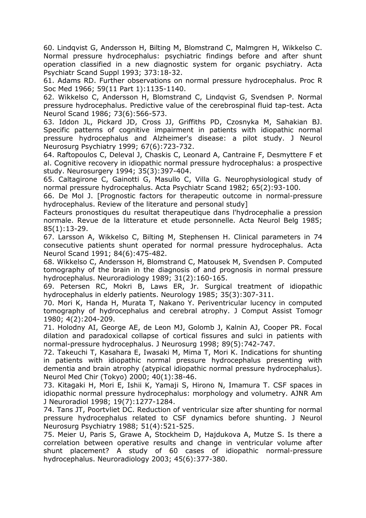60. Lindqvist G, Andersson H, Bilting M, Blomstrand C, Malmgren H, Wikkelso C. Normal pressure hydrocephalus: psychiatric findings before and after shunt operation classified in a new diagnostic system for organic psychiatry. Acta Psychiatr Scand Suppl 1993; 373:18-32.

61. Adams RD. Further observations on normal pressure hydrocephalus. Proc R Soc Med 1966; 59(11 Part 1):1135-1140.

62. Wikkelso C, Andersson H, Blomstrand C, Lindqvist G, Svendsen P. Normal pressure hydrocephalus. Predictive value of the cerebrospinal fluid tap-test. Acta Neurol Scand 1986; 73(6):566-573.

63. Iddon JL, Pickard JD, Cross JJ, Griffiths PD, Czosnyka M, Sahakian BJ. Specific patterns of cognitive impairment in patients with idiopathic normal pressure hydrocephalus and Alzheimer's disease: a pilot study. J Neurol Neurosurg Psychiatry 1999; 67(6):723-732.

64. Raftopoulos C, Deleval J, Chaskis C, Leonard A, Cantraine F, Desmyttere F et al. Cognitive recovery in idiopathic normal pressure hydrocephalus: a prospective study. Neurosurgery 1994; 35(3):397-404.

65. Caltagirone C, Gainotti G, Masullo C, Villa G. Neurophysiological study of normal pressure hydrocephalus. Acta Psychiatr Scand 1982; 65(2):93-100.

66. De Mol J. [Prognostic factors for therapeutic outcome in normal-pressure hydrocephalus. Review of the literature and personal study]

Facteurs pronostiques du resultat therapeutique dans l'hydrocephalie a pression normale. Revue de la litterature et etude personnelle. Acta Neurol Belg 1985; 85(1):13-29.

67. Larsson A, Wikkelso C, Bilting M, Stephensen H. Clinical parameters in 74 consecutive patients shunt operated for normal pressure hydrocephalus. Acta Neurol Scand 1991; 84(6):475-482.

68. Wikkelso C, Andersson H, Blomstrand C, Matousek M, Svendsen P. Computed tomography of the brain in the diagnosis of and prognosis in normal pressure hydrocephalus. Neuroradiology 1989; 31(2):160-165.

69. Petersen RC, Mokri B, Laws ER, Jr. Surgical treatment of idiopathic hydrocephalus in elderly patients. Neurology 1985; 35(3):307-311.

70. Mori K, Handa H, Murata T, Nakano Y. Periventricular lucency in computed tomography of hydrocephalus and cerebral atrophy. J Comput Assist Tomogr 1980; 4(2):204-209.

71. Holodny AI, George AE, de Leon MJ, Golomb J, Kalnin AJ, Cooper PR. Focal dilation and paradoxical collapse of cortical fissures and sulci in patients with normal-pressure hydrocephalus. J Neurosurg 1998; 89(5):742-747.

72. Takeuchi T, Kasahara E, Iwasaki M, Mima T, Mori K. Indications for shunting in patients with idiopathic normal pressure hydrocephalus presenting with dementia and brain atrophy (atypical idiopathic normal pressure hydrocephalus). Neurol Med Chir (Tokyo) 2000; 40(1):38-46.

73. Kitagaki H, Mori E, Ishii K, Yamaji S, Hirono N, Imamura T. CSF spaces in idiopathic normal pressure hydrocephalus: morphology and volumetry. AJNR Am J Neuroradiol 1998; 19(7):1277-1284.

74. Tans JT, Poortvliet DC. Reduction of ventricular size after shunting for normal pressure hydrocephalus related to CSF dynamics before shunting. J Neurol Neurosurg Psychiatry 1988; 51(4):521-525.

75. Meier U, Paris S, Grawe A, Stockheim D, Hajdukova A, Mutze S. Is there a correlation between operative results and change in ventricular volume after shunt placement? A study of 60 cases of idiopathic normal-pressure hydrocephalus. Neuroradiology 2003; 45(6):377-380.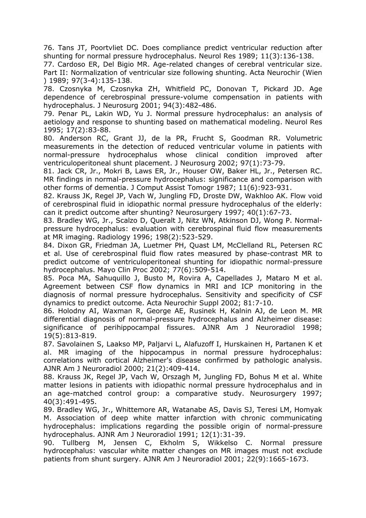76. Tans JT, Poortvliet DC. Does compliance predict ventricular reduction after shunting for normal pressure hydrocephalus. Neurol Res 1989; 11(3):136-138.

77. Cardoso ER, Del Bigio MR. Age-related changes of cerebral ventricular size. Part II: Normalization of ventricular size following shunting. Acta Neurochir (Wien ) 1989; 97(3-4):135-138.

78. Czosnyka M, Czosnyka ZH, Whitfield PC, Donovan T, Pickard JD. Age dependence of cerebrospinal pressure-volume compensation in patients with hydrocephalus. J Neurosurg 2001; 94(3):482-486.

79. Penar PL, Lakin WD, Yu J. Normal pressure hydrocephalus: an analysis of aetiology and response to shunting based on mathematical modeling. Neurol Res 1995; 17(2):83-88.

80. Anderson RC, Grant JJ, de la PR, Frucht S, Goodman RR. Volumetric measurements in the detection of reduced ventricular volume in patients with normal-pressure hydrocephalus whose clinical condition improved after ventriculoperitoneal shunt placement. J Neurosurg 2002; 97(1):73-79.

81. Jack CR, Jr., Mokri B, Laws ER, Jr., Houser OW, Baker HL, Jr., Petersen RC. MR findings in normal-pressure hydrocephalus: significance and comparison with other forms of dementia. J Comput Assist Tomogr 1987; 11(6):923-931.

82. Krauss JK, Regel JP, Vach W, Jungling FD, Droste DW, Wakhloo AK. Flow void of cerebrospinal fluid in idiopathic normal pressure hydrocephalus of the elderly: can it predict outcome after shunting? Neurosurgery 1997; 40(1):67-73.

83. Bradley WG, Jr., Scalzo D, Queralt J, Nitz WN, Atkinson DJ, Wong P. Normalpressure hydrocephalus: evaluation with cerebrospinal fluid flow measurements at MR imaging. Radiology 1996; 198(2):523-529.

84. Dixon GR, Friedman JA, Luetmer PH, Quast LM, McClelland RL, Petersen RC et al. Use of cerebrospinal fluid flow rates measured by phase-contrast MR to predict outcome of ventriculoperitoneal shunting for idiopathic normal-pressure hydrocephalus. Mayo Clin Proc 2002; 77(6):509-514.

85. Poca MA, Sahuquillo J, Busto M, Rovira A, Capellades J, Mataro M et al. Agreement between CSF flow dynamics in MRI and ICP monitoring in the diagnosis of normal pressure hydrocephalus. Sensitivity and specificity of CSF dynamics to predict outcome. Acta Neurochir Suppl 2002; 81:7-10.

86. Holodny AI, Waxman R, George AE, Rusinek H, Kalnin AJ, de Leon M. MR differential diagnosis of normal-pressure hydrocephalus and Alzheimer disease: significance of perihippocampal fissures. AJNR Am J Neuroradiol 1998; 19(5):813-819.

87. Savolainen S, Laakso MP, Paljarvi L, Alafuzoff I, Hurskainen H, Partanen K et al. MR imaging of the hippocampus in normal pressure hydrocephalus: correlations with cortical Alzheimer's disease confirmed by pathologic analysis. AJNR Am J Neuroradiol 2000; 21(2):409-414.

88. Krauss JK, Regel JP, Vach W, Orszagh M, Jungling FD, Bohus M et al. White matter lesions in patients with idiopathic normal pressure hydrocephalus and in an age-matched control group: a comparative study. Neurosurgery 1997; 40(3):491-495.

89. Bradley WG, Jr., Whittemore AR, Watanabe AS, Davis SJ, Teresi LM, Homyak M. Association of deep white matter infarction with chronic communicating hydrocephalus: implications regarding the possible origin of normal-pressure hydrocephalus. AJNR Am J Neuroradiol 1991; 12(1):31-39.

90. Tullberg M, Jensen C, Ekholm S, Wikkelso C. Normal pressure hydrocephalus: vascular white matter changes on MR images must not exclude patients from shunt surgery. AJNR Am J Neuroradiol 2001; 22(9):1665-1673.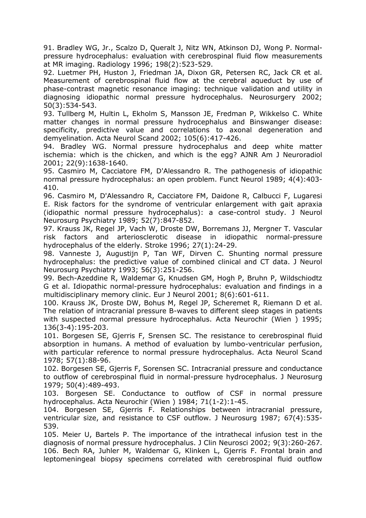91. Bradley WG, Jr., Scalzo D, Queralt J, Nitz WN, Atkinson DJ, Wong P. Normalpressure hydrocephalus: evaluation with cerebrospinal fluid flow measurements at MR imaging. Radiology 1996; 198(2):523-529.

92. Luetmer PH, Huston J, Friedman JA, Dixon GR, Petersen RC, Jack CR et al. Measurement of cerebrospinal fluid flow at the cerebral aqueduct by use of phase-contrast magnetic resonance imaging: technique validation and utility in diagnosing idiopathic normal pressure hydrocephalus. Neurosurgery 2002; 50(3):534-543.

93. Tullberg M, Hultin L, Ekholm S, Mansson JE, Fredman P, Wikkelso C. White matter changes in normal pressure hydrocephalus and Binswanger disease: specificity, predictive value and correlations to axonal degeneration and demyelination. Acta Neurol Scand 2002; 105(6):417-426.

94. Bradley WG. Normal pressure hydrocephalus and deep white matter ischemia: which is the chicken, and which is the egg? AJNR Am J Neuroradiol 2001; 22(9):1638-1640.

95. Casmiro M, Cacciatore FM, D'Alessandro R. The pathogenesis of idiopathic normal pressure hydrocephalus: an open problem. Funct Neurol 1989; 4(4):403- 410.

96. Casmiro M, D'Alessandro R, Cacciatore FM, Daidone R, Calbucci F, Lugaresi E. Risk factors for the syndrome of ventricular enlargement with gait apraxia (idiopathic normal pressure hydrocephalus): a case-control study. J Neurol Neurosurg Psychiatry 1989; 52(7):847-852.

97. Krauss JK, Regel JP, Vach W, Droste DW, Borremans JJ, Mergner T. Vascular risk factors and arteriosclerotic disease in idiopathic normal-pressure hydrocephalus of the elderly. Stroke 1996; 27(1):24-29.

98. Vanneste J, Augustijn P, Tan WF, Dirven C. Shunting normal pressure hydrocephalus: the predictive value of combined clinical and CT data. J Neurol Neurosurg Psychiatry 1993; 56(3):251-256.

99. Bech-Azeddine R, Waldemar G, Knudsen GM, Hogh P, Bruhn P, Wildschiodtz G et al. Idiopathic normal-pressure hydrocephalus: evaluation and findings in a multidisciplinary memory clinic. Eur J Neurol 2001; 8(6):601-611.

100. Krauss JK, Droste DW, Bohus M, Regel JP, Scheremet R, Riemann D et al. The relation of intracranial pressure B-waves to different sleep stages in patients with suspected normal pressure hydrocephalus. Acta Neurochir (Wien ) 1995; 136(3-4):195-203.

101. Borgesen SE, Gjerris F, Srensen SC. The resistance to cerebrospinal fluid absorption in humans. A method of evaluation by lumbo-ventricular perfusion, with particular reference to normal pressure hydrocephalus. Acta Neurol Scand 1978; 57(1):88-96.

102. Borgesen SE, Gjerris F, Sorensen SC. Intracranial pressure and conductance to outflow of cerebrospinal fluid in normal-pressure hydrocephalus. J Neurosurg 1979; 50(4):489-493.

103. Borgesen SE. Conductance to outflow of CSF in normal pressure hydrocephalus. Acta Neurochir (Wien ) 1984; 71(1-2):1-45.

104. Borgesen SE, Gjerris F. Relationships between intracranial pressure, ventricular size, and resistance to CSF outflow. J Neurosurg 1987; 67(4):535- 539.

105. Meier U, Bartels P. The importance of the intrathecal infusion test in the diagnosis of normal pressure hydrocephalus. J Clin Neurosci 2002; 9(3):260-267. 106. Bech RA, Juhler M, Waldemar G, Klinken L, Gjerris F. Frontal brain and leptomeningeal biopsy specimens correlated with cerebrospinal fluid outflow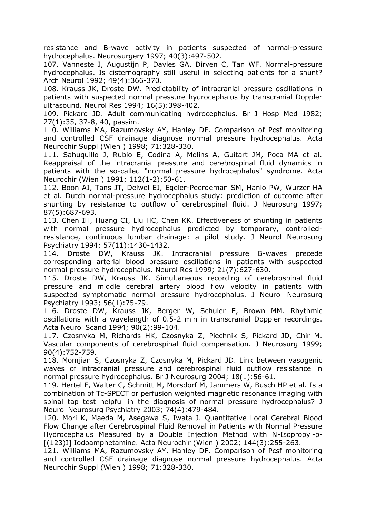resistance and B-wave activity in patients suspected of normal-pressure hydrocephalus. Neurosurgery 1997; 40(3):497-502.

107. Vanneste J, Augustijn P, Davies GA, Dirven C, Tan WF. Normal-pressure hydrocephalus. Is cisternography still useful in selecting patients for a shunt? Arch Neurol 1992; 49(4):366-370.

108. Krauss JK, Droste DW. Predictability of intracranial pressure oscillations in patients with suspected normal pressure hydrocephalus by transcranial Doppler ultrasound. Neurol Res 1994; 16(5):398-402.

109. Pickard JD. Adult communicating hydrocephalus. Br J Hosp Med 1982; 27(1):35, 37-8, 40, passim.

110. Williams MA, Razumovsky AY, Hanley DF. Comparison of Pcsf monitoring and controlled CSF drainage diagnose normal pressure hydrocephalus. Acta Neurochir Suppl (Wien ) 1998; 71:328-330.

111. Sahuquillo J, Rubio E, Codina A, Molins A, Guitart JM, Poca MA et al. Reappraisal of the intracranial pressure and cerebrospinal fluid dynamics in patients with the so-called "normal pressure hydrocephalus" syndrome. Acta Neurochir (Wien ) 1991; 112(1-2):50-61.

112. Boon AJ, Tans JT, Delwel EJ, Egeler-Peerdeman SM, Hanlo PW, Wurzer HA et al. Dutch normal-pressure hydrocephalus study: prediction of outcome after shunting by resistance to outflow of cerebrospinal fluid. J Neurosurg 1997; 87(5):687-693.

113. Chen IH, Huang CI, Liu HC, Chen KK. Effectiveness of shunting in patients with normal pressure hydrocephalus predicted by temporary, controlledresistance, continuous lumbar drainage: a pilot study. J Neurol Neurosurg Psychiatry 1994; 57(11):1430-1432.

114. Droste DW, Krauss JK. Intracranial pressure B-waves precede corresponding arterial blood pressure oscillations in patients with suspected normal pressure hydrocephalus. Neurol Res 1999; 21(7):627-630.

115. Droste DW, Krauss JK. Simultaneous recording of cerebrospinal fluid pressure and middle cerebral artery blood flow velocity in patients with suspected symptomatic normal pressure hydrocephalus. J Neurol Neurosurg Psychiatry 1993; 56(1):75-79.

116. Droste DW, Krauss JK, Berger W, Schuler E, Brown MM. Rhythmic oscillations with a wavelength of 0.5-2 min in transcranial Doppler recordings. Acta Neurol Scand 1994; 90(2):99-104.

117. Czosnyka M, Richards HK, Czosnyka Z, Piechnik S, Pickard JD, Chir M. Vascular components of cerebrospinal fluid compensation. J Neurosurg 1999; 90(4):752-759.

118. Momjian S, Czosnyka Z, Czosnyka M, Pickard JD. Link between vasogenic waves of intracranial pressure and cerebrospinal fluid outflow resistance in normal pressure hydrocephalus. Br J Neurosurg 2004; 18(1):56-61.

119. Hertel F, Walter C, Schmitt M, Morsdorf M, Jammers W, Busch HP et al. Is a combination of Tc-SPECT or perfusion weighted magnetic resonance imaging with spinal tap test helpful in the diagnosis of normal pressure hydrocephalus? J Neurol Neurosurg Psychiatry 2003; 74(4):479-484.

120. Mori K, Maeda M, Asegawa S, Iwata J. Quantitative Local Cerebral Blood Flow Change after Cerebrospinal Fluid Removal in Patients with Normal Pressure Hydrocephalus Measured by a Double Injection Method with N-Isopropyl-p- [(123)I] Iodoamphetamine. Acta Neurochir (Wien ) 2002; 144(3):255-263.

121. Williams MA, Razumovsky AY, Hanley DF. Comparison of Pcsf monitoring and controlled CSF drainage diagnose normal pressure hydrocephalus. Acta Neurochir Suppl (Wien ) 1998; 71:328-330.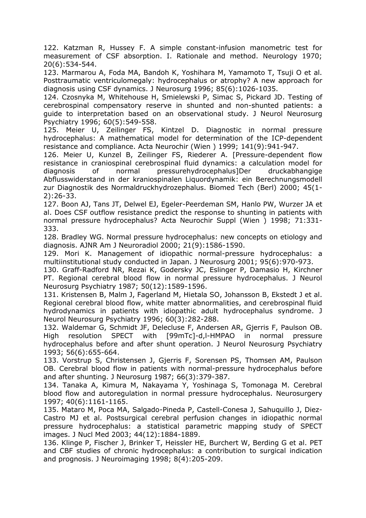122. Katzman R, Hussey F. A simple constant-infusion manometric test for measurement of CSF absorption. I. Rationale and method. Neurology 1970; 20(6):534-544.

123. Marmarou A, Foda MA, Bandoh K, Yoshihara M, Yamamoto T, Tsuji O et al. Posttraumatic ventriculomegaly: hydrocephalus or atrophy? A new approach for diagnosis using CSF dynamics. J Neurosurg 1996; 85(6):1026-1035.

124. Czosnyka M, Whitehouse H, Smielewski P, Simac S, Pickard JD. Testing of cerebrospinal compensatory reserve in shunted and non-shunted patients: a guide to interpretation based on an observational study. J Neurol Neurosurg Psychiatry 1996; 60(5):549-558.

125. Meier U, Zeilinger FS, Kintzel D. Diagnostic in normal pressure hydrocephalus: A mathematical model for determination of the ICP-dependent resistance and compliance. Acta Neurochir (Wien ) 1999; 141(9):941-947.

126. Meier U, Kunzel B, Zeilinger FS, Riederer A. [Pressure-dependent flow resistance in craniospinal cerebrospinal fluid dynamics: a calculation model for diagnosis of normal pressurehydrocephalus]Der druckabhangige Abflusswiderstand in der kraniospinalen Liquordynamik: ein Berechnungsmodell zur Diagnostik des Normaldruckhydrozephalus. Biomed Tech (Berl) 2000; 45(1- 2):26-33.

127. Boon AJ, Tans JT, Delwel EJ, Egeler-Peerdeman SM, Hanlo PW, Wurzer JA et al. Does CSF outflow resistance predict the response to shunting in patients with normal pressure hydrocephalus? Acta Neurochir Suppl (Wien ) 1998; 71:331- 333.

128. Bradley WG. Normal pressure hydrocephalus: new concepts on etiology and diagnosis. AJNR Am J Neuroradiol 2000; 21(9):1586-1590.

129. Mori K. Management of idiopathic normal-pressure hydrocephalus: a multiinstitutional study conducted in Japan. J Neurosurg 2001; 95(6):970-973.

130. Graff-Radford NR, Rezai K, Godersky JC, Eslinger P, Damasio H, Kirchner PT. Regional cerebral blood flow in normal pressure hydrocephalus. J Neurol Neurosurg Psychiatry 1987; 50(12):1589-1596.

131. Kristensen B, Malm J, Fagerland M, Hietala SO, Johansson B, Ekstedt J et al. Regional cerebral blood flow, white matter abnormalities, and cerebrospinal fluid hydrodynamics in patients with idiopathic adult hydrocephalus syndrome. J Neurol Neurosurg Psychiatry 1996; 60(3):282-288.

132. Waldemar G, Schmidt JF, Delecluse F, Andersen AR, Gjerris F, Paulson OB. High resolution SPECT with [99mTc]-d,l-HMPAO in normal pressure hydrocephalus before and after shunt operation. J Neurol Neurosurg Psychiatry 1993; 56(6):655-664.

133. Vorstrup S, Christensen J, Gjerris F, Sorensen PS, Thomsen AM, Paulson OB. Cerebral blood flow in patients with normal-pressure hydrocephalus before and after shunting. J Neurosurg 1987; 66(3):379-387.

134. Tanaka A, Kimura M, Nakayama Y, Yoshinaga S, Tomonaga M. Cerebral blood flow and autoregulation in normal pressure hydrocephalus. Neurosurgery 1997; 40(6):1161-1165.

135. Mataro M, Poca MA, Salgado-Pineda P, Castell-Conesa J, Sahuquillo J, Diez-Castro MJ et al. Postsurgical cerebral perfusion changes in idiopathic normal pressure hydrocephalus: a statistical parametric mapping study of SPECT images. J Nucl Med 2003; 44(12):1884-1889.

136. Klinge P, Fischer J, Brinker T, Heissler HE, Burchert W, Berding G et al. PET and CBF studies of chronic hydrocephalus: a contribution to surgical indication and prognosis. J Neuroimaging 1998; 8(4):205-209.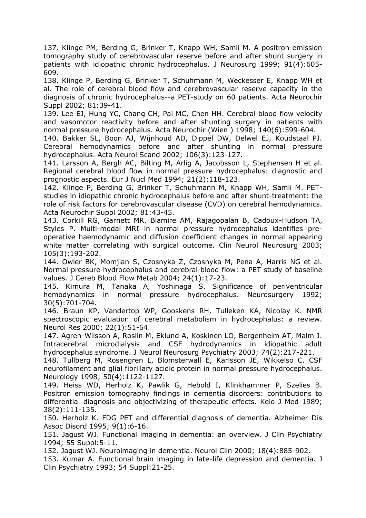137. Klinge PM, Berding G, Brinker T, Knapp WH, Samii M. A positron emission tomography study of cerebrovascular reserve before and after shunt surgery in patients with idiopathic chronic hydrocephalus. J Neurosurg 1999; 91(4):605- 609.

138. Klinge P, Berding G, Brinker T, Schuhmann M, Weckesser E, Knapp WH et al. The role of cerebral blood flow and cerebrovascular reserve capacity in the diagnosis of chronic hydrocephalus--a PET-study on 60 patients. Acta Neurochir Suppl 2002; 81:39-41.

139. Lee EJ, Hung YC, Chang CH, Pai MC, Chen HH. Cerebral blood flow velocity and vasomotor reactivity before and after shunting surgery in patients with normal pressure hydrocephalus. Acta Neurochir (Wien ) 1998; 140(6):599-604.

140. Bakker SL, Boon AJ, Wijnhoud AD, Dippel DW, Delwel EJ, Koudstaal PJ. Cerebral hemodynamics before and after shunting in normal pressure hydrocephalus. Acta Neurol Scand 2002; 106(3):123-127.

141. Larsson A, Bergh AC, Bilting M, Arlig A, Jacobsson L, Stephensen H et al. Regional cerebral blood flow in normal pressure hydrocephalus: diagnostic and prognostic aspects. Eur J Nucl Med 1994; 21(2):118-123.

142. Klinge P, Berding G, Brinker T, Schuhmann M, Knapp WH, Samii M. PETstudies in idiopathic chronic hydrocephalus before and after shunt-treatment: the role of risk factors for cerebrovascular disease (CVD) on cerebral hemodynamics. Acta Neurochir Suppl 2002; 81:43-45.

143. Corkill RG, Garnett MR, Blamire AM, Rajagopalan B, Cadoux-Hudson TA, Styles P. Multi-modal MRI in normal pressure hydrocephalus identifies preoperative haemodynamic and diffusion coefficient changes in normal appearing white matter correlating with surgical outcome. Clin Neurol Neurosurg 2003; 105(3):193-202.

144. Owler BK, Momjian S, Czosnyka Z, Czosnyka M, Pena A, Harris NG et al. Normal pressure hydrocephalus and cerebral blood flow: a PET study of baseline values. J Cereb Blood Flow Metab 2004; 24(1):17-23.

145. Kimura M, Tanaka A, Yoshinaga S. Significance of periventricular hemodynamics in normal pressure hydrocephalus. Neurosurgery 1992; 30(5):701-704.

146. Braun KP, Vandertop WP, Gooskens RH, Tulleken KA, Nicolay K. NMR spectroscopic evaluation of cerebral metabolism in hydrocephalus: a review. Neurol Res 2000; 22(1):51-64.

147. Agren-Wilsson A, Roslin M, Eklund A, Koskinen LO, Bergenheim AT, Malm J. Intracerebral microdialysis and CSF hydrodynamics in idiopathic adult hydrocephalus syndrome. J Neurol Neurosurg Psychiatry 2003; 74(2):217-221.

148. Tullberg M, Rosengren L, Blomsterwall E, Karlsson JE, Wikkelso C. CSF neurofilament and glial fibrillary acidic protein in normal pressure hydrocephalus. Neurology 1998; 50(4):1122-1127.

149. Heiss WD, Herholz K, Pawlik G, Hebold I, Klinkhammer P, Szelies B. Positron emission tomography findings in dementia disorders: contributions to differential diagnosis and objectivizing of therapeutic effects. Keio J Med 1989; 38(2):111-135.

150. Herholz K. FDG PET and differential diagnosis of dementia. Alzheimer Dis Assoc Disord 1995; 9(1):6-16.

151. Jagust WJ. Functional imaging in dementia: an overview. J Clin Psychiatry 1994; 55 Suppl:5-11.

152. Jagust WJ. Neuroimaging in dementia. Neurol Clin 2000; 18(4):885-902.

153. Kumar A. Functional brain imaging in late-life depression and dementia. J Clin Psychiatry 1993; 54 Suppl:21-25.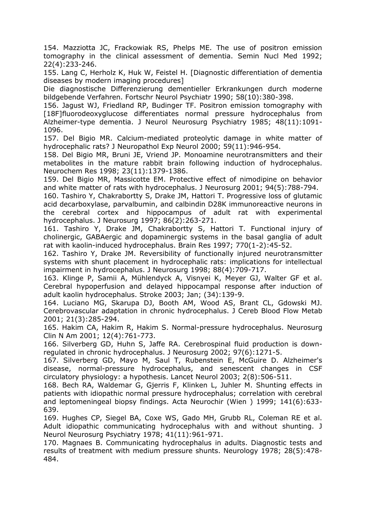154. Mazziotta JC, Frackowiak RS, Phelps ME. The use of positron emission tomography in the clinical assessment of dementia. Semin Nucl Med 1992; 22(4):233-246.

155. Lang C, Herholz K, Huk W, Feistel H. [Diagnostic differentiation of dementia diseases by modern imaging procedures]

Die diagnostische Differenzierung dementieller Erkrankungen durch moderne bildgebende Verfahren. Fortschr Neurol Psychiatr 1990; 58(10):380-398.

156. Jagust WJ, Friedland RP, Budinger TF. Positron emission tomography with [18F]fluorodeoxyglucose differentiates normal pressure hydrocephalus from Alzheimer-type dementia. J Neurol Neurosurg Psychiatry 1985; 48(11):1091- 1096.

157. Del Bigio MR. Calcium-mediated proteolytic damage in white matter of hydrocephalic rats? J Neuropathol Exp Neurol 2000; 59(11):946-954.

158. Del Bigio MR, Bruni JE, Vriend JP. Monoamine neurotransmitters and their metabolites in the mature rabbit brain following induction of hydrocephalus. Neurochem Res 1998; 23(11):1379-1386.

159. Del Bigio MR, Massicotte EM. Protective effect of nimodipine on behavior and white matter of rats with hydrocephalus. J Neurosurg 2001; 94(5):788-794.

160. Tashiro Y, Chakrabortty S, Drake JM, Hattori T. Progressive loss of glutamic acid decarboxylase, parvalbumin, and calbindin D28K immunoreactive neurons in the cerebral cortex and hippocampus of adult rat with experimental hydrocephalus. J Neurosurg 1997; 86(2):263-271.

161. Tashiro Y, Drake JM, Chakrabortty S, Hattori T. Functional injury of cholinergic, GABAergic and dopaminergic systems in the basal ganglia of adult rat with kaolin-induced hydrocephalus. Brain Res 1997; 770(1-2):45-52.

162. Tashiro Y, Drake JM. Reversibility of functionally injured neurotransmitter systems with shunt placement in hydrocephalic rats: implications for intellectual impairment in hydrocephalus. J Neurosurg 1998; 88(4):709-717.

163. Klinge P, Samii A, Mühlendyck A, Visnyei K, Meyer GJ, Walter GF et al. Cerebral hypoperfusion and delayed hippocampal response after induction of adult kaolin hydrocephalus. Stroke 2003; Jan; (34):139-9.

164. Luciano MG, Skarupa DJ, Booth AM, Wood AS, Brant CL, Gdowski MJ. Cerebrovascular adaptation in chronic hydrocephalus. J Cereb Blood Flow Metab 2001; 21(3):285-294.

165. Hakim CA, Hakim R, Hakim S. Normal-pressure hydrocephalus. Neurosurg Clin N Am 2001; 12(4):761-773.

166. Silverberg GD, Huhn S, Jaffe RA. Cerebrospinal fluid production is downregulated in chronic hydrocephalus. J Neurosurg 2002; 97(6):1271-5.

167. Silverberg GD, Mayo M, Saul T, Rubenstein E, McGuire D. Alzheimer's disease, normal-pressure hydrocephalus, and senescent changes in CSF circulatory physiology: a hypothesis. Lancet Neurol 2003; 2(8):506-511.

168. Bech RA, Waldemar G, Gjerris F, Klinken L, Juhler M. Shunting effects in patients with idiopathic normal pressure hydrocephalus; correlation with cerebral and leptomeningeal biopsy findings. Acta Neurochir (Wien ) 1999; 141(6):633- 639.

169. Hughes CP, Siegel BA, Coxe WS, Gado MH, Grubb RL, Coleman RE et al. Adult idiopathic communicating hydrocephalus with and without shunting. J Neurol Neurosurg Psychiatry 1978; 41(11):961-971.

170. Magnaes B. Communicating hydrocephalus in adults. Diagnostic tests and results of treatment with medium pressure shunts. Neurology 1978; 28(5):478- 484.